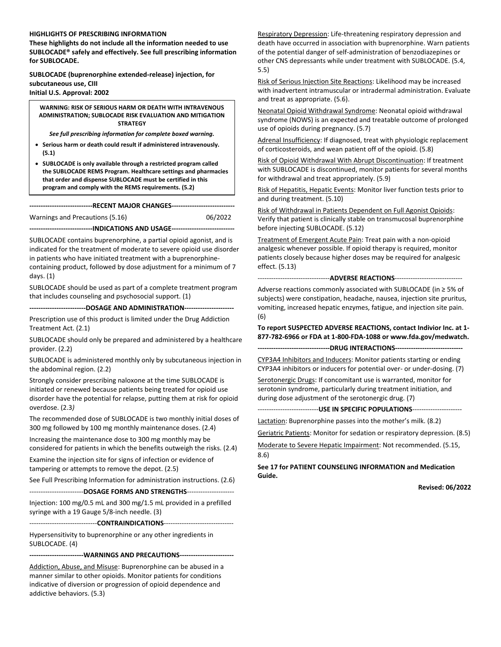#### **HIGHLIGHTS OF PRESCRIBING INFORMATION**

**These highlights do not include all the information needed to use SUBLOCADE® safely and effectively. See full prescribing information for SUBLOCADE.**

**SUBLOCADE (buprenorphine extended-release) injection, for subcutaneous use, CIII Initial U.S. Approval: 2002**

**WARNING: RISK OF SERIOUS HARM OR DEATH WITH INTRAVENOUS ADMINISTRATION; SUBLOCADE RISK EVALUATION AND MITIGATION STRATEGY**

*See full prescribing information for complete boxed warning.*

- **Serious harm or death could result if administered intravenously. (5.1)**
- **SUBLOCADE is only available through a restricted program called the SUBLOCADE REMS Program. Healthcare settings and pharmacies that order and dispense SUBLOCADE must be certified in this program and comply with the REMS requirements. (5.2)**

**----------------------------RECENT MAJOR CHANGES----------------------------**

Warnings and Precautions (5.16) 06/2022

**----------------------------INDICATIONS AND USAGE----------------------------**

SUBLOCADE contains buprenorphine, a partial opioid agonist, and is indicated for the treatment of moderate to severe opioid use disorder in patients who have initiated treatment with a buprenorphinecontaining product, followed by dose adjustment for a minimum of 7

SUBLOCADE should be used as part of a complete treatment program that includes counseling and psychosocial support. (1)

days. (1)

**-------------------------DOSAGE AND ADMINISTRATION----------------------**

Prescription use of this product is limited under the Drug Addiction Treatment Act. (2.1)

SUBLOCADE should only be prepared and administered by a healthcare provider. (2.2)

SUBLOCADE is administered monthly only by subcutaneous injection in the abdominal region. (2.2)

Strongly consider prescribing naloxone at the time SUBLOCADE is initiated or renewed because patients being treated for opioid use disorder have the potential for relapse, putting them at risk for opioid overdose. (2.3*)*

The recommended dose of SUBLOCADE is two monthly initial doses of 300 mg followed by 100 mg monthly maintenance doses. (2.4)

Increasing the maintenance dose to 300 mg monthly may be considered for patients in which the benefits outweigh the risks. (2.4)

Examine the injection site for signs of infection or evidence of tampering or attempts to remove the depot. (2.5)

See Full Prescribing Information for administration instructions. (2.6)

------------------------**DOSAGE FORMS AND STRENGTHS**---------------------

Injection: 100 mg/0.5 mL and 300 mg/1.5 mL provided in a prefilled syringe with a 19 Gauge 5/8-inch needle. (3)

------------------------------**CONTRAINDICATIONS**-------------------------------

Hypersensitivity to buprenorphine or any other ingredients in SUBLOCADE. (4)

**------------------------WARNINGS AND PRECAUTIONS------------------------**

Addiction, Abuse, and Misuse: Buprenorphine can be abused in a manner similar to other opioids. Monitor patients for conditions indicative of diversion or progression of opioid dependence and addictive behaviors. (5.3)

Respiratory Depression: Life-threatening respiratory depression and death have occurred in association with buprenorphine. Warn patients of the potential danger of self-administration of benzodiazepines or other CNS depressants while under treatment with SUBLOCADE. (5.4, 5.5)

Risk of Serious Injection Site Reactions: Likelihood may be increased with inadvertent intramuscular or intradermal administration. Evaluate and treat as appropriate. (5.6).

Neonatal Opioid Withdrawal Syndrome: Neonatal opioid withdrawal syndrome (NOWS) is an expected and treatable outcome of prolonged use of opioids during pregnancy. (5.7)

Adrenal Insufficiency: If diagnosed, treat with physiologic replacement of corticosteroids, and wean patient off of the opioid. (5.8)

Risk of Opioid Withdrawal With Abrupt Discontinuation: If treatment with SUBLOCADE is discontinued, monitor patients for several months for withdrawal and treat appropriately. (5.9)

Risk of Hepatitis, Hepatic Events: Monitor liver function tests prior to and during treatment. (5.10)

Risk of Withdrawal in Patients Dependent on Full Agonist Opioids: Verify that patient is clinically stable on transmucosal buprenorphine before injecting SUBLOCADE. (5.12)

Treatment of Emergent Acute Pain: Treat pain with a non-opioid analgesic whenever possible. If opioid therapy is required, monitor patients closely because higher doses may be required for analgesic effect. (5.13)

--------------------------------**ADVERSE REACTIONS**------------------------------

Adverse reactions commonly associated with SUBLOCADE (in ≥ 5% of subjects) were constipation, headache, nausea, injection site pruritus, vomiting, increased hepatic enzymes, fatigue, and injection site pain. (6)

**To report SUSPECTED ADVERSE REACTIONS, contact Indivior Inc. at 1- 877-782-6966 or FDA at 1-800-FDA-1088 or www.fda.gov/medwatch.**

**--------------------------------DRUG INTERACTIONS------------------------------**

CYP3A4 Inhibitors and Inducers: Monitor patients starting or ending CYP3A4 inhibitors or inducers for potential over- or under-dosing. (7)

Serotonergic Drugs: If concomitant use is warranted, monitor for serotonin syndrome, particularly during treatment initiation, and during dose adjustment of the serotonergic drug. (7)

---------------------------**USE IN SPECIFIC POPULATIONS**----------------------

Lactation: Buprenorphine passes into the mother's milk. (8.2)

Geriatric Patients: Monitor for sedation or respiratory depression. (8.5)

Moderate to Severe Hepatic Impairment: Not recommended. (5.15, 8.6)

**See [17](#page-40-0) for PATIENT COUNSELING INFORMATION and Medication Guide.** 

**Revised: 06/2022**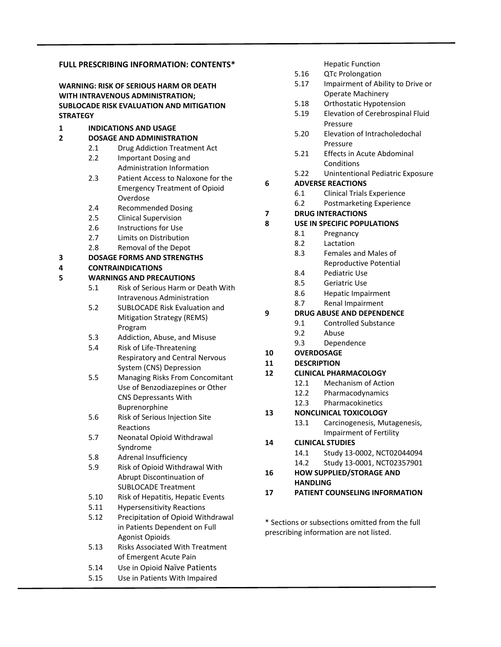### **FULL PRESCRIBING INFORMATION: CONTENTS\* WARNING: RISK OF SERIOUS HARM OR DEATH WITH INTRAVENOUS ADMINISTRATION; SUBLOCADE RISK EVALUATION AND MITIGATION STRATEGY 1 INDICATIONS AND USAGE 2 DOSAGE AND ADMINISTRATION** 2.1 Drug Addiction Treatment Act 2.2 Important Dosing and Administration Information 2.3 Patient Access to Naloxone for the Emergency Treatment of Opioid Overdose 2.4 Recommended Dosing 2.5 Clinical Supervision 2.6 Instructions for Use 2.7 Limits on Distribution 2.8 Removal of the Depot **3 DOSAGE FORMS AND STRENGTHS 4 CONTRAINDICATIONS 5 WARNINGS AND PRECAUTIONS** 5.1 Risk of Serious Harm or Death With Intravenous Administration 5.2 SUBLOCADE Risk Evaluation and Mitigation Strategy (REMS) Program 5.3 Addiction, Abuse, and Misuse 5.4 Risk of Life-Threatening Respiratory and Central Nervous System (CNS) Depression 5.5 Managing Risks From Concomitant Use of Benzodiazepines or Other CNS Depressants With Buprenorphine 5.6 Risk of Serious Injection Site Reactions 5.7 Neonatal Opioid Withdrawal Syndrome 5.8 Adrenal Insufficiency 5.9 Risk of Opioid Withdrawal With Abrupt Discontinuation of SUBLOCADE Treatment 5.10 Risk of Hepatitis, Hepatic Events 5.11 Hypersensitivity Reactions 5.12 Precipitation of Opioid Withdrawal in Patients Dependent on Full Agonist Opioids 5.13 Risks Associated With Treatment of Emergent Acute Pain 5.14 Use in Opioid Naïve Patients 5.15 Use in Patients With Impaired

### Operate Machinery 5.18 Orthostatic Hypotension 5.19 Elevation of Cerebrospinal Fluid Pressure 5.20 Elevation of Intracholedochal Pressure 5.21 Effects in Acute Abdominal Conditions 5.22 Unintentional Pediatric Exposure **6 ADVERSE REACTIONS** 6.1 Clinical Trials Experience 6.2 Postmarketing Experience **7 DRUG INTERACTIONS 8 USE IN SPECIFIC POPULATIONS** 8.1 Pregnancy 8.2 Lactation 8.3 Females and Males of Reproductive Potential 8.4 Pediatric Use 8.5 Geriatric Use 8.6 Hepatic Impairment 8.7 Renal Impairment **9 DRUG ABUSE AND DEPENDENCE** 9.1 Controlled Substance 9.2 Abuse 9.3 Dependence **10 OVERDOSAGE 11 DESCRIPTION 12 CLINICAL PHARMACOLOGY** 12.1 Mechanism of Action 12.2 Pharmacodynamics 12.3 Pharmacokinetics **13 NONCLINICAL TOXICOLOGY** 13.1 Carcinogenesis, Mutagenesis, Impairment of Fertility **14 CLINICAL STUDIES** 14.1 Study 13-0002, NCT02044094 14.2 Study 13-0001, NCT02357901 **16 HOW SUPPLIED/STORAGE AND HANDLING 17 PATIENT COUNSELING INFORMATION**

Hepatic Function

5.17 Impairment of Ability to Drive or

5.16 QTc Prolongation

\* Sections or subsections omitted from the full prescribing information are not listed.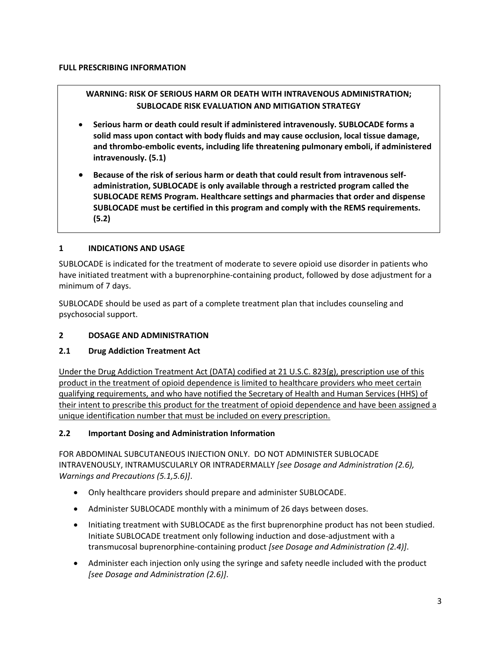# **WARNING: RISK OF SERIOUS HARM OR DEATH WITH INTRAVENOUS ADMINISTRATION; SUBLOCADE RISK EVALUATION AND MITIGATION STRATEGY**

- **Serious harm or death could result if administered intravenously. SUBLOCADE forms a solid mass upon contact with body fluids and may cause occlusion, local tissue damage, and thrombo-embolic events, including life threatening pulmonary emboli, if administered intravenously. (5.1)**
- **Because of the risk of serious harm or death that could result from intravenous selfadministration, SUBLOCADE is only available through a restricted program called the SUBLOCADE REMS Program. Healthcare settings and pharmacies that order and dispense SUBLOCADE must be certified in this program and comply with the REMS requirements. (5.2)**

## **1 INDICATIONS AND USAGE**

SUBLOCADE is indicated for the treatment of moderate to severe opioid use disorder in patients who have initiated treatment with a buprenorphine-containing product, followed by dose adjustment for a minimum of 7 days.

SUBLOCADE should be used as part of a complete treatment plan that includes counseling and psychosocial support.

## **2 DOSAGE AND ADMINISTRATION**

### **2.1 Drug Addiction Treatment Act**

Under the Drug Addiction Treatment Act (DATA) codified at 21 U.S.C. 823(g), prescription use of this product in the treatment of opioid dependence is limited to healthcare providers who meet certain qualifying requirements, and who have notified the Secretary of Health and Human Services (HHS) of their intent to prescribe this product for the treatment of opioid dependence and have been assigned a unique identification number that must be included on every prescription.

### **2.2 Important Dosing and Administration Information**

FOR ABDOMINAL SUBCUTANEOUS INJECTION ONLY. DO NOT ADMINISTER SUBLOCADE INTRAVENOUSLY, INTRAMUSCULARLY OR INTRADERMALLY *[see Dosage and Administration (2.6), Warnings and Precautions (5.1,5.6)]*.

- Only healthcare providers should prepare and administer SUBLOCADE.
- Administer SUBLOCADE monthly with a minimum of 26 days between doses.
- Initiating treatment with SUBLOCADE as the first buprenorphine product has not been studied. Initiate SUBLOCADE treatment only following induction and dose-adjustment with a transmucosal buprenorphine-containing product *[see Dosage and Administration (2.4)]*.
- Administer each injection only using the syringe and safety needle included with the product *[see Dosage and Administration (2.6)]*.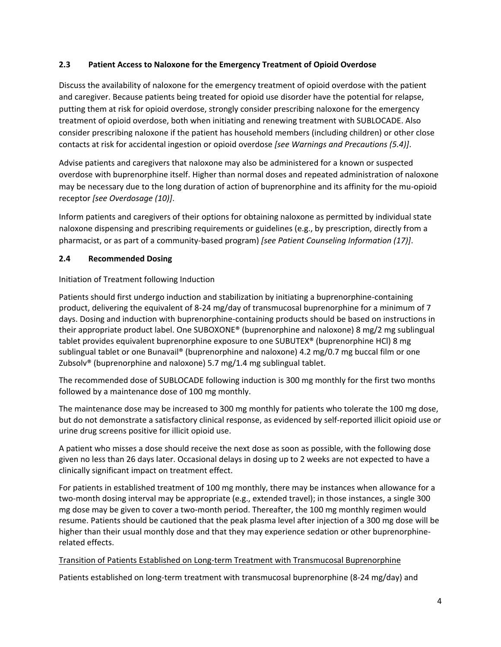## **2.3 Patient Access to Naloxone for the Emergency Treatment of Opioid Overdose**

Discuss the availability of naloxone for the emergency treatment of opioid overdose with the patient and caregiver. Because patients being treated for opioid use disorder have the potential for relapse, putting them at risk for opioid overdose, strongly consider prescribing naloxone for the emergency treatment of opioid overdose, both when initiating and renewing treatment with SUBLOCADE. Also consider prescribing naloxone if the patient has household members (including children) or other close contacts at risk for accidental ingestion or opioid overdose *[see Warnings and Precautions (5.4)]*.

Advise patients and caregivers that naloxone may also be administered for a known or suspected overdose with buprenorphine itself. Higher than normal doses and repeated administration of naloxone may be necessary due to the long duration of action of buprenorphine and its affinity for the mu-opioid receptor *[see Overdosage (10)]*.

Inform patients and caregivers of their options for obtaining naloxone as permitted by individual state naloxone dispensing and prescribing requirements or guidelines (e.g., by prescription, directly from a pharmacist, or as part of a community-based program) *[see Patient Counseling Information (17)]*.

### **2.4 Recommended Dosing**

### Initiation of Treatment following Induction

Patients should first undergo induction and stabilization by initiating a buprenorphine-containing product, delivering the equivalent of 8-24 mg/day of transmucosal buprenorphine for a minimum of 7 days. Dosing and induction with buprenorphine-containing products should be based on instructions in their appropriate product label. One SUBOXONE® (buprenorphine and naloxone) 8 mg/2 mg sublingual tablet provides equivalent buprenorphine exposure to one SUBUTEX® (buprenorphine HCl) 8 mg sublingual tablet or one Bunavail® (buprenorphine and naloxone) 4.2 mg/0.7 mg buccal film or one Zubsolv® (buprenorphine and naloxone) 5.7 mg/1.4 mg sublingual tablet.

The recommended dose of SUBLOCADE following induction is 300 mg monthly for the first two months followed by a maintenance dose of 100 mg monthly.

The maintenance dose may be increased to 300 mg monthly for patients who tolerate the 100 mg dose, but do not demonstrate a satisfactory clinical response, as evidenced by self-reported illicit opioid use or urine drug screens positive for illicit opioid use.

A patient who misses a dose should receive the next dose as soon as possible, with the following dose given no less than 26 days later. Occasional delays in dosing up to 2 weeks are not expected to have a clinically significant impact on treatment effect.

For patients in established treatment of 100 mg monthly, there may be instances when allowance for a two-month dosing interval may be appropriate (e.g., extended travel); in those instances, a single 300 mg dose may be given to cover a two-month period. Thereafter, the 100 mg monthly regimen would resume. Patients should be cautioned that the peak plasma level after injection of a 300 mg dose will be higher than their usual monthly dose and that they may experience sedation or other buprenorphinerelated effects.

### Transition of Patients Established on Long-term Treatment with Transmucosal Buprenorphine

Patients established on long-term treatment with transmucosal buprenorphine (8-24 mg/day) and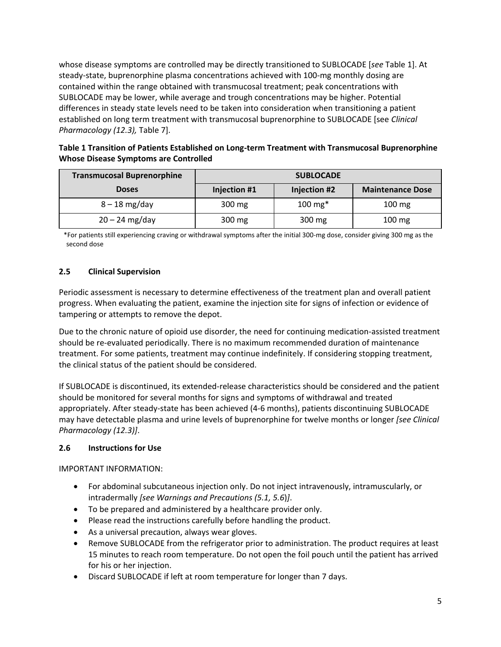whose disease symptoms are controlled may be directly transitioned to SUBLOCADE [*see* Table 1]. At steady-state, buprenorphine plasma concentrations achieved with 100-mg monthly dosing are contained within the range obtained with transmucosal treatment; peak concentrations with SUBLOCADE may be lower, while average and trough concentrations may be higher. Potential differences in steady state levels need to be taken into consideration when transitioning a patient established on long term treatment with transmucosal buprenorphine to SUBLOCADE [see *Clinical Pharmacology (12.3),* Table 7].

## **Table 1 Transition of Patients Established on Long-term Treatment with Transmucosal Buprenorphine Whose Disease Symptoms are Controlled**

| <b>Transmucosal Buprenorphine</b> | <b>SUBLOCADE</b> |                     |                         |  |
|-----------------------------------|------------------|---------------------|-------------------------|--|
| <b>Doses</b>                      | Injection #1     | <b>Injection #2</b> | <b>Maintenance Dose</b> |  |
| $8 - 18$ mg/day                   | 300 mg           | $100 \text{ mg}^*$  | $100 \text{ mg}$        |  |
| $20 - 24$ mg/day                  | 300 mg           | 300 mg              | $100 \text{ mg}$        |  |

\*For patients still experiencing craving or withdrawal symptoms after the initial 300-mg dose, consider giving 300 mg as the second dose

## **2.5 Clinical Supervision**

Periodic assessment is necessary to determine effectiveness of the treatment plan and overall patient progress. When evaluating the patient, examine the injection site for signs of infection or evidence of tampering or attempts to remove the depot.

Due to the chronic nature of opioid use disorder, the need for continuing medication-assisted treatment should be re-evaluated periodically. There is no maximum recommended duration of maintenance treatment. For some patients, treatment may continue indefinitely. If considering stopping treatment, the clinical status of the patient should be considered.

If SUBLOCADE is discontinued, its extended-release characteristics should be considered and the patient should be monitored for several months for signs and symptoms of withdrawal and treated appropriately. After steady-state has been achieved (4-6 months), patients discontinuing SUBLOCADE may have detectable plasma and urine levels of buprenorphine for twelve months or longer *[see Clinical Pharmacology (12.3)]*.

## **2.6 Instructions for Use**

IMPORTANT INFORMATION:

- For abdominal subcutaneous injection only. Do not inject intravenously, intramuscularly, or intradermally *[see Warnings and Precautions (5.1, 5.6*)*]*.
- To be prepared and administered by a healthcare provider only.
- Please read the instructions carefully before handling the product.
- As a universal precaution, always wear gloves.
- Remove SUBLOCADE from the refrigerator prior to administration. The product requires at least 15 minutes to reach room temperature. Do not open the foil pouch until the patient has arrived for his or her injection.
- Discard SUBLOCADE if left at room temperature for longer than 7 days.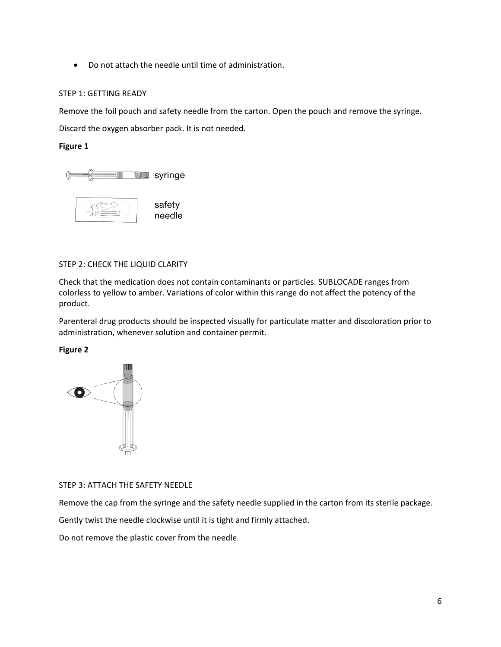• Do not attach the needle until time of administration.

#### STEP 1: GETTING READY

Remove the foil pouch and safety needle from the carton. Open the pouch and remove the syringe. Discard the oxygen absorber pack. It is not needed.

**Figure 1**





#### STEP 2: CHECK THE LIQUID CLARITY

Check that the medication does not contain contaminants or particles. SUBLOCADE ranges from colorless to yellow to amber. Variations of color within this range do not affect the potency of the product.

Parenteral drug products should be inspected visually for particulate matter and discoloration prior to administration, whenever solution and container permit.

**Figure 2**



#### STEP 3: ATTACH THE SAFETY NEEDLE

Remove the cap from the syringe and the safety needle supplied in the carton from its sterile package.

Gently twist the needle clockwise until it is tight and firmly attached.

Do not remove the plastic cover from the needle.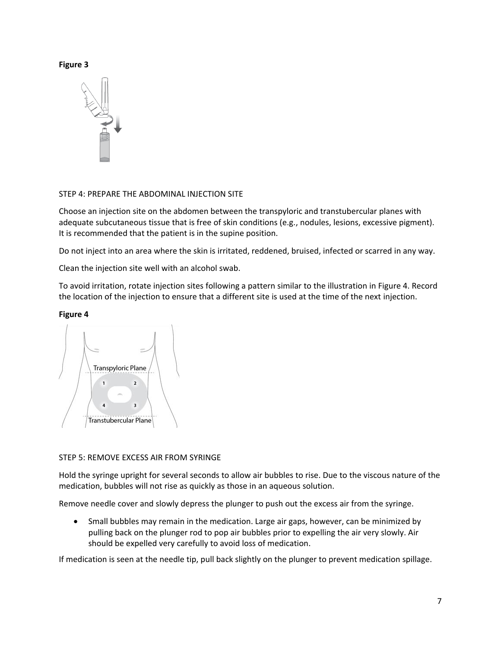#### **Figure 3**



### STEP 4: PREPARE THE ABDOMINAL INJECTION SITE

Choose an injection site on the abdomen between the transpyloric and transtubercular planes with adequate subcutaneous tissue that is free of skin conditions (e.g., nodules, lesions, excessive pigment). It is recommended that the patient is in the supine position.

Do not inject into an area where the skin is irritated, reddened, bruised, infected or scarred in any way.

Clean the injection site well with an alcohol swab.

To avoid irritation, rotate injection sites following a pattern similar to the illustration in Figure 4. Record the location of the injection to ensure that a different site is used at the time of the next injection.

### **Figure 4**



### STEP 5: REMOVE EXCESS AIR FROM SYRINGE

Hold the syringe upright for several seconds to allow air bubbles to rise. Due to the viscous nature of the medication, bubbles will not rise as quickly as those in an aqueous solution.

Remove needle cover and slowly depress the plunger to push out the excess air from the syringe.

• Small bubbles may remain in the medication. Large air gaps, however, can be minimized by pulling back on the plunger rod to pop air bubbles prior to expelling the air very slowly. Air should be expelled very carefully to avoid loss of medication.

If medication is seen at the needle tip, pull back slightly on the plunger to prevent medication spillage.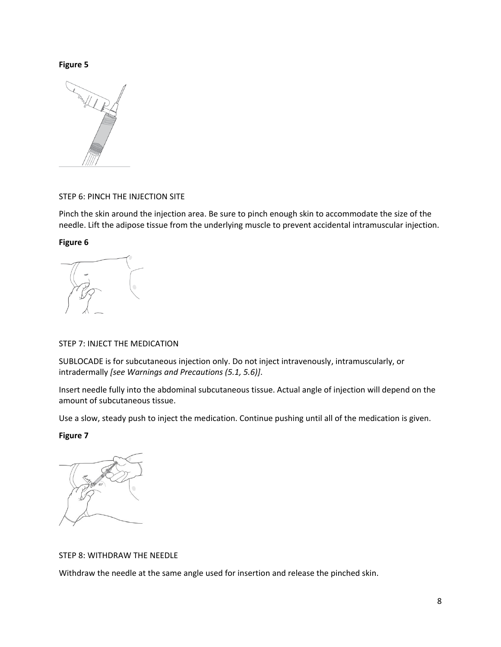#### **Figure 5**



### STEP 6: PINCH THE INJECTION SITE

Pinch the skin around the injection area. Be sure to pinch enough skin to accommodate the size of the needle. Lift the adipose tissue from the underlying muscle to prevent accidental intramuscular injection.

**Figure 6**

### STEP 7: INJECT THE MEDICATION

SUBLOCADE is for subcutaneous injection only. Do not inject intravenously, intramuscularly, or intradermally *[see Warnings and Precautions (5.1, 5.6)]*.

Insert needle fully into the abdominal subcutaneous tissue. Actual angle of injection will depend on the amount of subcutaneous tissue.

Use a slow, steady push to inject the medication. Continue pushing until all of the medication is given.

**Figure 7**

### STEP 8: WITHDRAW THE NEEDLE

Withdraw the needle at the same angle used for insertion and release the pinched skin.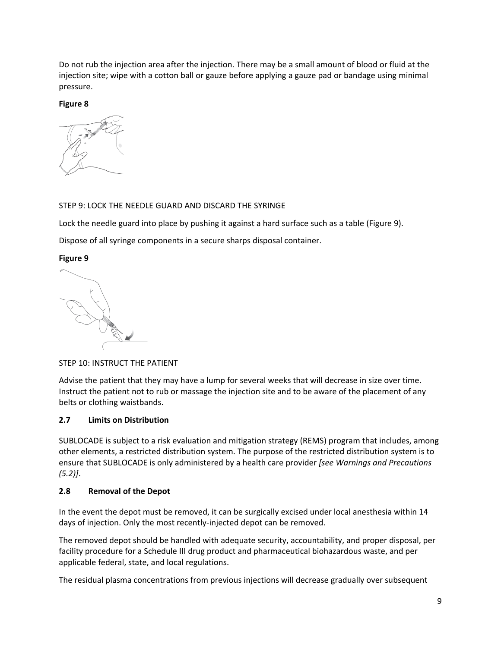Do not rub the injection area after the injection. There may be a small amount of blood or fluid at the injection site; wipe with a cotton ball or gauze before applying a gauze pad or bandage using minimal pressure.

**Figure 8**



## STEP 9: LOCK THE NEEDLE GUARD AND DISCARD THE SYRINGE

Lock the needle guard into place by pushing it against a hard surface such as a table (Figure 9).

Dispose of all syringe components in a secure sharps disposal container.

## **Figure 9**

STEP 10: INSTRUCT THE PATIENT

Advise the patient that they may have a lump for several weeks that will decrease in size over time. Instruct the patient not to rub or massage the injection site and to be aware of the placement of any belts or clothing waistbands.

# **2.7 Limits on Distribution**

SUBLOCADE is subject to a risk evaluation and mitigation strategy (REMS) program that includes, among other elements, a restricted distribution system. The purpose of the restricted distribution system is to ensure that SUBLOCADE is only administered by a health care provider *[see Warnings and Precautions (5.2)]*.

# **2.8 Removal of the Depot**

In the event the depot must be removed, it can be surgically excised under local anesthesia within 14 days of injection. Only the most recently-injected depot can be removed.

The removed depot should be handled with adequate security, accountability, and proper disposal, per facility procedure for a Schedule III drug product and pharmaceutical biohazardous waste, and per applicable federal, state, and local regulations.

The residual plasma concentrations from previous injections will decrease gradually over subsequent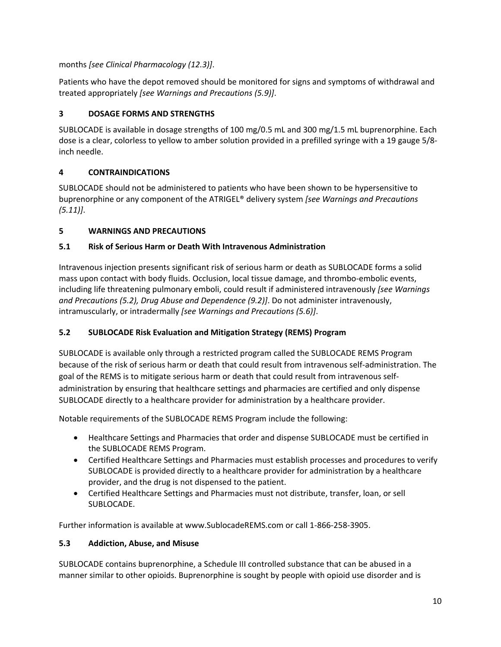months *[see Clinical Pharmacology (12.3)]*.

Patients who have the depot removed should be monitored for signs and symptoms of withdrawal and treated appropriately *[see Warnings and Precautions (5.9)]*.

# **3 DOSAGE FORMS AND STRENGTHS**

SUBLOCADE is available in dosage strengths of 100 mg/0.5 mL and 300 mg/1.5 mL buprenorphine. Each dose is a clear, colorless to yellow to amber solution provided in a prefilled syringe with a 19 gauge 5/8 inch needle.

# <span id="page-9-0"></span>**4 CONTRAINDICATIONS**

SUBLOCADE should not be administered to patients who have been shown to be hypersensitive to buprenorphine or any component of the ATRIGEL® delivery system *[see Warnings and Precautions (5.11)]*.

# **5 WARNINGS AND PRECAUTIONS**

# **5.1 Risk of Serious Harm or Death With Intravenous Administration**

Intravenous injection presents significant risk of serious harm or death as SUBLOCADE forms a solid mass upon contact with body fluids. Occlusion, local tissue damage, and thrombo-embolic events, including life threatening pulmonary emboli, could result if administered intravenously *[see Warnings and Precautions (5.2), Drug Abuse and Dependence [\(9.2\)](#page-27-0)]*. Do not administer intravenously, intramuscularly, or intradermally *[see Warnings and Precautions (5.6)]*.

# **5.2 SUBLOCADE Risk Evaluation and Mitigation Strategy (REMS) Program**

SUBLOCADE is available only through a restricted program called the SUBLOCADE REMS Program because of the risk of serious harm or death that could result from intravenous self-administration. The goal of the REMS is to mitigate serious harm or death that could result from intravenous selfadministration by ensuring that healthcare settings and pharmacies are certified and only dispense SUBLOCADE directly to a healthcare provider for administration by a healthcare provider.

Notable requirements of the SUBLOCADE REMS Program include the following:

- Healthcare Settings and Pharmacies that order and dispense SUBLOCADE must be certified in the SUBLOCADE REMS Program.
- Certified Healthcare Settings and Pharmacies must establish processes and procedures to verify SUBLOCADE is provided directly to a healthcare provider for administration by a healthcare provider, and the drug is not dispensed to the patient.
- Certified Healthcare Settings and Pharmacies must not distribute, transfer, loan, or sell SUBLOCADE.

Further information is available at www.SublocadeREMS.com or call 1-866-258-3905.

# **5.3 Addiction, Abuse, and Misuse**

SUBLOCADE contains buprenorphine, a Schedule III controlled substance that can be abused in a manner similar to other opioids. Buprenorphine is sought by people with opioid use disorder and is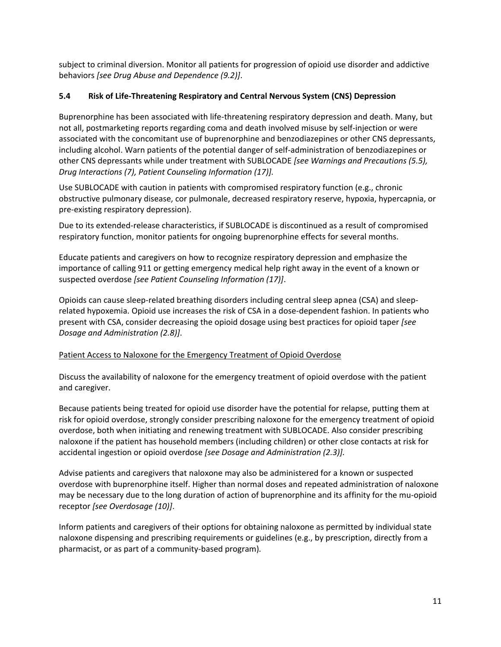subject to criminal diversion. Monitor all patients for progression of opioid use disorder and addictive behaviors *[see Drug Abuse and Dependence [\(9.2\)](#page-27-0)]*.

## **5.4 Risk of Life-Threatening Respiratory and Central Nervous System (CNS) Depression**

Buprenorphine has been associated with life-threatening respiratory depression and death. Many, but not all, postmarketing reports regarding coma and death involved misuse by self-injection or were associated with the concomitant use of buprenorphine and benzodiazepines or other CNS depressants, including alcohol. Warn patients of the potential danger of self-administration of benzodiazepines or other CNS depressants while under treatment with SUBLOCADE *[see Warnings and Precautions (5.5), Drug Interactions (7), Patient Counseling Information (17)].*

Use SUBLOCADE with caution in patients with compromised respiratory function (e.g., chronic obstructive pulmonary disease, cor pulmonale, decreased respiratory reserve, hypoxia, hypercapnia, or pre-existing respiratory depression).

Due to its extended-release characteristics, if SUBLOCADE is discontinued as a result of compromised respiratory function, monitor patients for ongoing buprenorphine effects for several months.

Educate patients and caregivers on how to recognize respiratory depression and emphasize the importance of calling 911 or getting emergency medical help right away in the event of a known or suspected overdose *[see Patient Counseling Information (17)]*.

Opioids can cause sleep-related breathing disorders including central sleep apnea (CSA) and sleeprelated hypoxemia. Opioid use increases the risk of CSA in a dose-dependent fashion. In patients who present with CSA, consider decreasing the opioid dosage using best practices for opioid taper *[see Dosage and Administration (2.8)]*.

## Patient Access to Naloxone for the Emergency Treatment of Opioid Overdose

Discuss the availability of naloxone for the emergency treatment of opioid overdose with the patient and caregiver.

Because patients being treated for opioid use disorder have the potential for relapse, putting them at risk for opioid overdose, strongly consider prescribing naloxone for the emergency treatment of opioid overdose, both when initiating and renewing treatment with SUBLOCADE. Also consider prescribing naloxone if the patient has household members (including children) or other close contacts at risk for accidental ingestion or opioid overdose *[see Dosage and Administration (2.3)].*

Advise patients and caregivers that naloxone may also be administered for a known or suspected overdose with buprenorphine itself. Higher than normal doses and repeated administration of naloxone may be necessary due to the long duration of action of buprenorphine and its affinity for the mu-opioid receptor *[see Overdosage (10)]*.

Inform patients and caregivers of their options for obtaining naloxone as permitted by individual state naloxone dispensing and prescribing requirements or guidelines (e.g., by prescription, directly from a pharmacist, or as part of a community-based program)*.*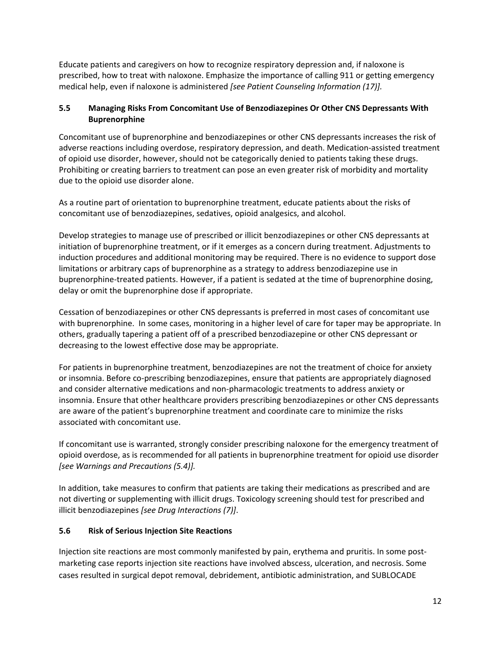Educate patients and caregivers on how to recognize respiratory depression and, if naloxone is prescribed, how to treat with naloxone. Emphasize the importance of calling 911 or getting emergency medical help, even if naloxone is administered *[see Patient Counseling Information (17)].*

## **5.5 Managing Risks From Concomitant Use of Benzodiazepines Or Other CNS Depressants With Buprenorphine**

Concomitant use of buprenorphine and benzodiazepines or other CNS depressants increases the risk of adverse reactions including overdose, respiratory depression, and death. Medication-assisted treatment of opioid use disorder, however, should not be categorically denied to patients taking these drugs. Prohibiting or creating barriers to treatment can pose an even greater risk of morbidity and mortality due to the opioid use disorder alone.

As a routine part of orientation to buprenorphine treatment, educate patients about the risks of concomitant use of benzodiazepines, sedatives, opioid analgesics, and alcohol.

Develop strategies to manage use of prescribed or illicit benzodiazepines or other CNS depressants at initiation of buprenorphine treatment, or if it emerges as a concern during treatment. Adjustments to induction procedures and additional monitoring may be required. There is no evidence to support dose limitations or arbitrary caps of buprenorphine as a strategy to address benzodiazepine use in buprenorphine-treated patients. However, if a patient is sedated at the time of buprenorphine dosing, delay or omit the buprenorphine dose if appropriate.

Cessation of benzodiazepines or other CNS depressants is preferred in most cases of concomitant use with buprenorphine. In some cases, monitoring in a higher level of care for taper may be appropriate. In others, gradually tapering a patient off of a prescribed benzodiazepine or other CNS depressant or decreasing to the lowest effective dose may be appropriate.

For patients in buprenorphine treatment, benzodiazepines are not the treatment of choice for anxiety or insomnia. Before co-prescribing benzodiazepines, ensure that patients are appropriately diagnosed and consider alternative medications and non-pharmacologic treatments to address anxiety or insomnia. Ensure that other healthcare providers prescribing benzodiazepines or other CNS depressants are aware of the patient's buprenorphine treatment and coordinate care to minimize the risks associated with concomitant use.

If concomitant use is warranted, strongly consider prescribing naloxone for the emergency treatment of opioid overdose, as is recommended for all patients in buprenorphine treatment for opioid use disorder *[see Warnings and Precautions (5.4)].*

In addition, take measures to confirm that patients are taking their medications as prescribed and are not diverting or supplementing with illicit drugs. Toxicology screening should test for prescribed and illicit benzodiazepines *[see Drug Interactions (7)]*.

## **5.6 Risk of Serious Injection Site Reactions**

Injection site reactions are most commonly manifested by pain, erythema and pruritis. In some postmarketing case reports injection site reactions have involved abscess, ulceration, and necrosis. Some cases resulted in surgical depot removal, debridement, antibiotic administration, and SUBLOCADE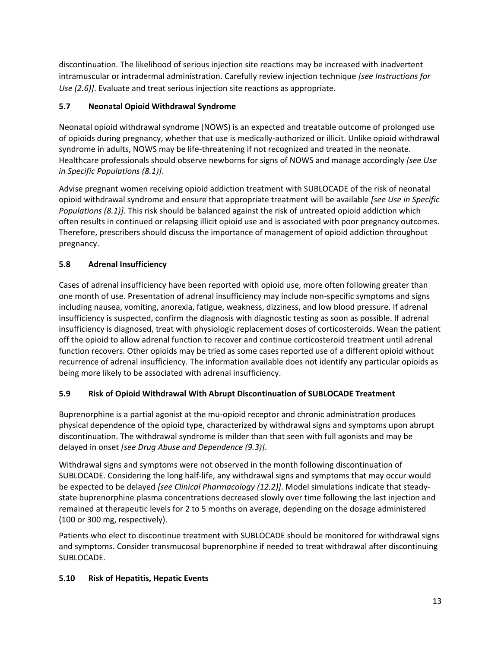discontinuation. The likelihood of serious injection site reactions may be increased with inadvertent intramuscular or intradermal administration. Carefully review injection technique *[see Instructions for Use (2.6)]*. Evaluate and treat serious injection site reactions as appropriate.

# **5.7 Neonatal Opioid Withdrawal Syndrome**

Neonatal opioid withdrawal syndrome (NOWS) is an expected and treatable outcome of prolonged use of opioids during pregnancy, whether that use is medically-authorized or illicit. Unlike opioid withdrawal syndrome in adults, NOWS may be life-threatening if not recognized and treated in the neonate. Healthcare professionals should observe newborns for signs of NOWS and manage accordingly *[see Use in Specific Populations [\(8.1\)](#page-22-0)]*.

Advise pregnant women receiving opioid addiction treatment with SUBLOCADE of the risk of neonatal opioid withdrawal syndrome and ensure that appropriate treatment will be available *[see Use in Specific Populations [\(8.1\)](#page-22-0)]*. This risk should be balanced against the risk of untreated opioid addiction which often results in continued or relapsing illicit opioid use and is associated with poor pregnancy outcomes. Therefore, prescribers should discuss the importance of management of opioid addiction throughout pregnancy.

# **5.8 Adrenal Insufficiency**

Cases of adrenal insufficiency have been reported with opioid use, more often following greater than one month of use. Presentation of adrenal insufficiency may include non-specific symptoms and signs including nausea, vomiting, anorexia, fatigue, weakness, dizziness, and low blood pressure. If adrenal insufficiency is suspected, confirm the diagnosis with diagnostic testing as soon as possible. If adrenal insufficiency is diagnosed, treat with physiologic replacement doses of corticosteroids. Wean the patient off the opioid to allow adrenal function to recover and continue corticosteroid treatment until adrenal function recovers. Other opioids may be tried as some cases reported use of a different opioid without recurrence of adrenal insufficiency. The information available does not identify any particular opioids as being more likely to be associated with adrenal insufficiency.

# **5.9 Risk of Opioid Withdrawal With Abrupt Discontinuation of SUBLOCADE Treatment**

Buprenorphine is a partial agonist at the mu-opioid receptor and chronic administration produces physical dependence of the opioid type, characterized by withdrawal signs and symptoms upon abrupt discontinuation. The withdrawal syndrome is milder than that seen with full agonists and may be delayed in onset *[see Drug Abuse and Dependence [\(9.3\)](#page-27-1)]*.

Withdrawal signs and symptoms were not observed in the month following discontinuation of SUBLOCADE. Considering the long half-life, any withdrawal signs and symptoms that may occur would be expected to be delayed *[see Clinical Pharmacology (12.2)]*. Model simulations indicate that steadystate buprenorphine plasma concentrations decreased slowly over time following the last injection and remained at therapeutic levels for 2 to 5 months on average, depending on the dosage administered (100 or 300 mg, respectively).

Patients who elect to discontinue treatment with SUBLOCADE should be monitored for withdrawal signs and symptoms. Consider transmucosal buprenorphine if needed to treat withdrawal after discontinuing SUBLOCADE.

# **5.10 Risk of Hepatitis, Hepatic Events**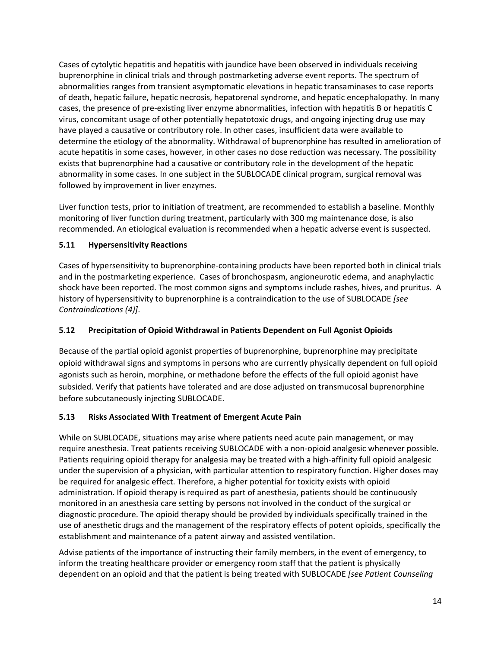Cases of cytolytic hepatitis and hepatitis with jaundice have been observed in individuals receiving buprenorphine in clinical trials and through postmarketing adverse event reports. The spectrum of abnormalities ranges from transient asymptomatic elevations in hepatic transaminases to case reports of death, hepatic failure, hepatic necrosis, hepatorenal syndrome, and hepatic encephalopathy. In many cases, the presence of pre-existing liver enzyme abnormalities, infection with hepatitis B or hepatitis C virus, concomitant usage of other potentially hepatotoxic drugs, and ongoing injecting drug use may have played a causative or contributory role. In other cases, insufficient data were available to determine the etiology of the abnormality. Withdrawal of buprenorphine has resulted in amelioration of acute hepatitis in some cases, however, in other cases no dose reduction was necessary. The possibility exists that buprenorphine had a causative or contributory role in the development of the hepatic abnormality in some cases. In one subject in the SUBLOCADE clinical program, surgical removal was followed by improvement in liver enzymes.

Liver function tests, prior to initiation of treatment, are recommended to establish a baseline. Monthly monitoring of liver function during treatment, particularly with 300 mg maintenance dose, is also recommended. An etiological evaluation is recommended when a hepatic adverse event is suspected.

## **5.11 Hypersensitivity Reactions**

Cases of hypersensitivity to buprenorphine-containing products have been reported both in clinical trials and in the postmarketing experience. Cases of bronchospasm, angioneurotic edema, and anaphylactic shock have been reported. The most common signs and symptoms include rashes, hives, and pruritus. A history of hypersensitivity to buprenorphine is a contraindication to the use of SUBLOCADE *[see Contraindications [\(4\)](#page-9-0)]*.

## **5.12 Precipitation of Opioid Withdrawal in Patients Dependent on Full Agonist Opioids**

Because of the partial opioid agonist properties of buprenorphine, buprenorphine may precipitate opioid withdrawal signs and symptoms in persons who are currently physically dependent on full opioid agonists such as heroin, morphine, or methadone before the effects of the full opioid agonist have subsided. Verify that patients have tolerated and are dose adjusted on transmucosal buprenorphine before subcutaneously injecting SUBLOCADE.

## **5.13 Risks Associated With Treatment of Emergent Acute Pain**

While on SUBLOCADE, situations may arise where patients need acute pain management, or may require anesthesia. Treat patients receiving SUBLOCADE with a non-opioid analgesic whenever possible. Patients requiring opioid therapy for analgesia may be treated with a high-affinity full opioid analgesic under the supervision of a physician, with particular attention to respiratory function. Higher doses may be required for analgesic effect. Therefore, a higher potential for toxicity exists with opioid administration. If opioid therapy is required as part of anesthesia, patients should be continuously monitored in an anesthesia care setting by persons not involved in the conduct of the surgical or diagnostic procedure. The opioid therapy should be provided by individuals specifically trained in the use of anesthetic drugs and the management of the respiratory effects of potent opioids, specifically the establishment and maintenance of a patent airway and assisted ventilation.

Advise patients of the importance of instructing their family members, in the event of emergency, to inform the treating healthcare provider or emergency room staff that the patient is physically dependent on an opioid and that the patient is being treated with SUBLOCADE *[see Patient Counseling*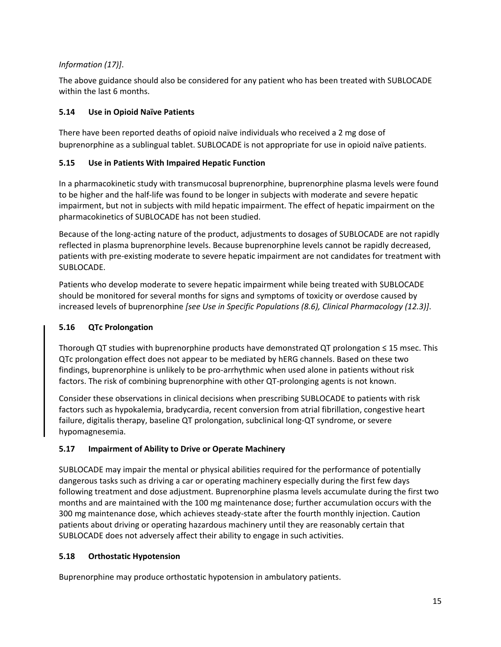## *Information (17)]*.

The above guidance should also be considered for any patient who has been treated with SUBLOCADE within the last 6 months.

## **5.14 Use in Opioid Naïve Patients**

There have been reported deaths of opioid naïve individuals who received a 2 mg dose of buprenorphine as a sublingual tablet. SUBLOCADE is not appropriate for use in opioid naïve patients.

## **5.15 Use in Patients With Impaired Hepatic Function**

In a pharmacokinetic study with transmucosal buprenorphine, buprenorphine plasma levels were found to be higher and the half-life was found to be longer in subjects with moderate and severe hepatic impairment, but not in subjects with mild hepatic impairment. The effect of hepatic impairment on the pharmacokinetics of SUBLOCADE has not been studied.

Because of the long-acting nature of the product, adjustments to dosages of SUBLOCADE are not rapidly reflected in plasma buprenorphine levels. Because buprenorphine levels cannot be rapidly decreased, patients with pre-existing moderate to severe hepatic impairment are not candidates for treatment with SUBLOCADE.

Patients who develop moderate to severe hepatic impairment while being treated with SUBLOCADE should be monitored for several months for signs and symptoms of toxicity or overdose caused by increased levels of buprenorphine *[see Use in Specific Populations [\(8.6\)](#page-26-0), Clinical Pharmacology [\(12.3\)](#page-32-0)]*.

## **5.16 QTc Prolongation**

Thorough QT studies with buprenorphine products have demonstrated QT prolongation ≤ 15 msec. This QTc prolongation effect does not appear to be mediated by hERG channels. Based on these two findings, buprenorphine is unlikely to be pro-arrhythmic when used alone in patients without risk factors. The risk of combining buprenorphine with other QT-prolonging agents is not known.

Consider these observations in clinical decisions when prescribing SUBLOCADE to patients with risk factors such as hypokalemia, bradycardia, recent conversion from atrial fibrillation, congestive heart failure, digitalis therapy, baseline QT prolongation, subclinical long-QT syndrome, or severe hypomagnesemia.

# **5.17 Impairment of Ability to Drive or Operate Machinery**

SUBLOCADE may impair the mental or physical abilities required for the performance of potentially dangerous tasks such as driving a car or operating machinery especially during the first few days following treatment and dose adjustment. Buprenorphine plasma levels accumulate during the first two months and are maintained with the 100 mg maintenance dose; further accumulation occurs with the 300 mg maintenance dose, which achieves steady-state after the fourth monthly injection. Caution patients about driving or operating hazardous machinery until they are reasonably certain that SUBLOCADE does not adversely affect their ability to engage in such activities.

## **5.18 Orthostatic Hypotension**

Buprenorphine may produce orthostatic hypotension in ambulatory patients.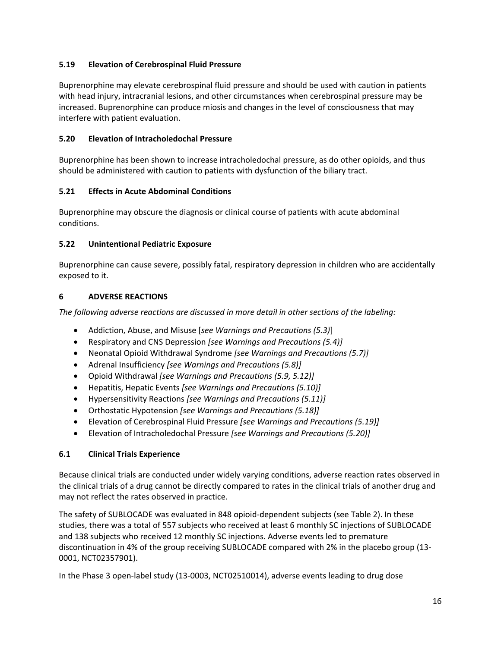## **5.19 Elevation of Cerebrospinal Fluid Pressure**

Buprenorphine may elevate cerebrospinal fluid pressure and should be used with caution in patients with head injury, intracranial lesions, and other circumstances when cerebrospinal pressure may be increased. Buprenorphine can produce miosis and changes in the level of consciousness that may interfere with patient evaluation.

### **5.20 Elevation of Intracholedochal Pressure**

Buprenorphine has been shown to increase intracholedochal pressure, as do other opioids, and thus should be administered with caution to patients with dysfunction of the biliary tract.

## **5.21 Effects in Acute Abdominal Conditions**

Buprenorphine may obscure the diagnosis or clinical course of patients with acute abdominal conditions.

### **5.22 Unintentional Pediatric Exposure**

Buprenorphine can cause severe, possibly fatal, respiratory depression in children who are accidentally exposed to it.

### **6 ADVERSE REACTIONS**

*The following adverse reactions are discussed in more detail in other sections of the labeling:*

- Addiction, Abuse, and Misuse [*see Warnings and Precautions (5.3)*]
- Respiratory and CNS Depression *[see Warnings and Precautions (5.4)]*
- Neonatal Opioid Withdrawal Syndrome *[see Warnings and Precautions (5.7)]*
- Adrenal Insufficiency *[see Warnings and Precautions (5.8)]*
- Opioid Withdrawal *[see Warnings and Precautions (5.9, 5.12)]*
- Hepatitis, Hepatic Events *[see Warnings and Precautions (5.10)]*
- Hypersensitivity Reactions *[see Warnings and Precautions (5.11)]*
- Orthostatic Hypotension *[see Warnings and Precautions (5.18)]*
- Elevation of Cerebrospinal Fluid Pressure *[see Warnings and Precautions (5.19)]*
- Elevation of Intracholedochal Pressure *[see Warnings and Precautions (5.20)]*

### **6.1 Clinical Trials Experience**

Because clinical trials are conducted under widely varying conditions, adverse reaction rates observed in the clinical trials of a drug cannot be directly compared to rates in the clinical trials of another drug and may not reflect the rates observed in practice.

The safety of SUBLOCADE was evaluated in 848 opioid-dependent subjects (see Table 2). In these studies, there was a total of 557 subjects who received at least 6 monthly SC injections of SUBLOCADE and 138 subjects who received 12 monthly SC injections. Adverse events led to premature discontinuation in 4% of the group receiving SUBLOCADE compared with 2% in the placebo group (13- 0001, NCT02357901).

In the Phase 3 open-label study (13-0003, NCT02510014), adverse events leading to drug dose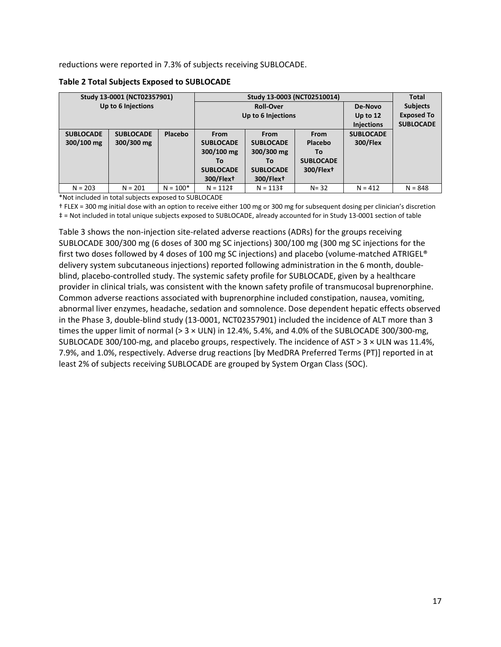reductions were reported in 7.3% of subjects receiving SUBLOCADE.

**Table 2 Total Subjects Exposed to SUBLOCADE**

|                  | Study 13-0001 (NCT02357901) |                    |                       |                       | <b>Total</b>          |                   |                  |
|------------------|-----------------------------|--------------------|-----------------------|-----------------------|-----------------------|-------------------|------------------|
|                  | Up to 6 Injections          |                    |                       | <b>Roll-Over</b>      |                       | De-Novo           | <b>Subjects</b>  |
|                  |                             | Up to 6 Injections |                       |                       | Up to 12              | <b>Exposed To</b> |                  |
|                  |                             |                    |                       |                       |                       | <b>Injections</b> | <b>SUBLOCADE</b> |
| <b>SUBLOCADE</b> | <b>SUBLOCADE</b>            | Placebo            | <b>From</b>           | <b>From</b>           | <b>From</b>           | <b>SUBLOCADE</b>  |                  |
| 300/100 mg       | 300/300 mg                  |                    | <b>SUBLOCADE</b>      | <b>SUBLOCADE</b>      | Placebo               | <b>300/Flex</b>   |                  |
|                  |                             |                    | 300/100 mg            | 300/300 mg            | To                    |                   |                  |
|                  |                             |                    | To                    | Т٥                    | <b>SUBLOCADE</b>      |                   |                  |
|                  |                             |                    | <b>SUBLOCADE</b>      | <b>SUBLOCADE</b>      | 300/Flex <sup>+</sup> |                   |                  |
|                  |                             |                    | 300/Flex <sup>+</sup> | 300/Flex <sup>+</sup> |                       |                   |                  |
| $N = 203$        | $N = 201$                   | $N = 100*$         | $N = 112$ ‡           | $N = 113$ ‡           | $N = 32$              | $N = 412$         | $N = 848$        |

\*Not included in total subjects exposed to SUBLOCADE

† FLEX = 300 mg initial dose with an option to receive either 100 mg or 300 mg for subsequent dosing per clinician's discretion ‡ = Not included in total unique subjects exposed to SUBLOCADE, already accounted for in Study 13-0001 section of table

Table 3 shows the non-injection site-related adverse reactions (ADRs) for the groups receiving SUBLOCADE 300/300 mg (6 doses of 300 mg SC injections) 300/100 mg (300 mg SC injections for the first two doses followed by 4 doses of 100 mg SC injections) and placebo (volume-matched ATRIGEL® delivery system subcutaneous injections) reported following administration in the 6 month, doubleblind, placebo-controlled study. The systemic safety profile for SUBLOCADE, given by a healthcare provider in clinical trials, was consistent with the known safety profile of transmucosal buprenorphine. Common adverse reactions associated with buprenorphine included constipation, nausea, vomiting, abnormal liver enzymes, headache, sedation and somnolence. Dose dependent hepatic effects observed in the Phase 3, double-blind study (13-0001, NCT02357901) included the incidence of ALT more than 3 times the upper limit of normal (> 3 × ULN) in 12.4%, 5.4%, and 4.0% of the SUBLOCADE 300/300-mg, SUBLOCADE 300/100-mg, and placebo groups, respectively. The incidence of AST > 3 × ULN was 11.4%, 7.9%, and 1.0%, respectively. Adverse drug reactions [by MedDRA Preferred Terms (PT)] reported in at least 2% of subjects receiving SUBLOCADE are grouped by System Organ Class (SOC).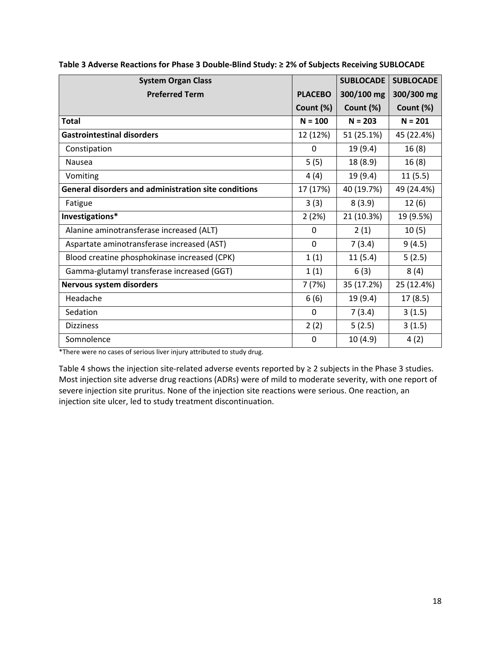| <b>System Organ Class</b>                            |           | <b>SUBLOCADE</b> | <b>SUBLOCADE</b> |
|------------------------------------------------------|-----------|------------------|------------------|
| <b>Preferred Term</b><br><b>PLACEBO</b>              |           | 300/100 mg       | 300/300 mg       |
|                                                      | Count (%) | Count (%)        | Count (%)        |
| <b>Total</b>                                         | $N = 100$ | $N = 203$        | $N = 201$        |
| <b>Gastrointestinal disorders</b>                    | 12 (12%)  | 51 (25.1%)       | 45 (22.4%)       |
| Constipation                                         | $\Omega$  | 19 (9.4)         | 16(8)            |
| <b>Nausea</b>                                        | 5(5)      | 18 (8.9)         | 16(8)            |
| Vomiting                                             | 4(4)      | 19 (9.4)         | 11(5.5)          |
| General disorders and administration site conditions | 17 (17%)  | 40 (19.7%)       | 49 (24.4%)       |
| Fatigue                                              | 3(3)      | 8(3.9)           | 12(6)            |
| Investigations*                                      | 2(2%)     | 21 (10.3%)       | 19 (9.5%)        |
| Alanine aminotransferase increased (ALT)             | $\Omega$  | 2(1)             | 10(5)            |
| Aspartate aminotransferase increased (AST)           | $\Omega$  | 7(3.4)           | 9(4.5)           |
| Blood creatine phosphokinase increased (CPK)         | 1(1)      | 11(5.4)          | 5(2.5)           |
| Gamma-glutamyl transferase increased (GGT)           | 1(1)      | 6(3)             | 8(4)             |
| Nervous system disorders                             | 7(7%)     | 35 (17.2%)       | 25 (12.4%)       |
| Headache                                             | 6(6)      | 19 (9.4)         | 17(8.5)          |
| Sedation                                             | 0         | 7(3.4)           | 3(1.5)           |
| <b>Dizziness</b>                                     | 2(2)      | 5(2.5)           | 3(1.5)           |
| Somnolence                                           | $\Omega$  | 10(4.9)          | 4(2)             |

**Table 3 Adverse Reactions for Phase 3 Double-Blind Study: ≥ 2% of Subjects Receiving SUBLOCADE**

\*There were no cases of serious liver injury attributed to study drug.

Table 4 shows the injection site-related adverse events reported by ≥ 2 subjects in the Phase 3 studies. Most injection site adverse drug reactions (ADRs) were of mild to moderate severity, with one report of severe injection site pruritus. None of the injection site reactions were serious. One reaction, an injection site ulcer, led to study treatment discontinuation.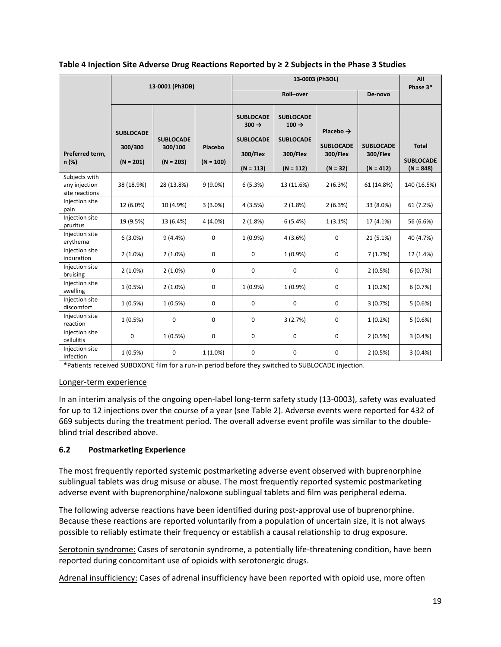|  |  |  | Table 4 Injection Site Adverse Drug Reactions Reported by $\geq 2$ Subjects in the Phase 3 Studies |
|--|--|--|----------------------------------------------------------------------------------------------------|
|--|--|--|----------------------------------------------------------------------------------------------------|

|                                                  | 13-0001 (Ph3DB)                            |                                            |                        | 13-0003 (Ph3OL)                                                                      |                                                                                      |                                                                     | All<br>Phase 3*                             |                                                 |
|--------------------------------------------------|--------------------------------------------|--------------------------------------------|------------------------|--------------------------------------------------------------------------------------|--------------------------------------------------------------------------------------|---------------------------------------------------------------------|---------------------------------------------|-------------------------------------------------|
|                                                  |                                            |                                            |                        | Roll-over                                                                            |                                                                                      |                                                                     | De-novo                                     |                                                 |
| Preferred term,<br>$n$ (%)                       | <b>SUBLOCADE</b><br>300/300<br>$(N = 201)$ | <b>SUBLOCADE</b><br>300/100<br>$(N = 203)$ | Placebo<br>$(N = 100)$ | <b>SUBLOCADE</b><br>$300 \rightarrow$<br><b>SUBLOCADE</b><br>300/Flex<br>$(N = 113)$ | <b>SUBLOCADE</b><br>$100 \rightarrow$<br><b>SUBLOCADE</b><br>300/Flex<br>$(N = 112)$ | Placebo $\rightarrow$<br><b>SUBLOCADE</b><br>300/Flex<br>$(N = 32)$ | <b>SUBLOCADE</b><br>300/Flex<br>$(N = 412)$ | <b>Total</b><br><b>SUBLOCADE</b><br>$(N = 848)$ |
| Subjects with<br>any injection<br>site reactions | 38 (18.9%)                                 | 28 (13.8%)                                 | $9(9.0\%)$             | 6(5.3%)                                                                              | 13 (11.6%)                                                                           | 2(6.3%)                                                             | 61 (14.8%)                                  | 140 (16.5%)                                     |
| Injection site<br>pain                           | 12 (6.0%)                                  | 10 (4.9%)                                  | $3(3.0\%)$             | 4(3.5%)                                                                              | 2(1.8%)                                                                              | 2(6.3%)                                                             | 33 (8.0%)                                   | 61 (7.2%)                                       |
| Injection site<br>pruritus                       | 19 (9.5%)                                  | 13 (6.4%)                                  | $4(4.0\%)$             | 2(1.8%)                                                                              | 6(5.4%)                                                                              | $1(3.1\%)$                                                          | 17 (4.1%)                                   | 56 (6.6%)                                       |
| Injection site<br>erythema                       | $6(3.0\%)$                                 | 9(4.4%                                     | $\mathbf 0$            | $1(0.9\%)$                                                                           | 4(3.6%)                                                                              | $\mathbf 0$                                                         | 21 (5.1%)                                   | 40 (4.7%)                                       |
| Injection site<br>induration                     | $2(1.0\%)$                                 | $2(1.0\%)$                                 | 0                      | 0                                                                                    | $1(0.9\%)$                                                                           | 0                                                                   | 7(1.7%)                                     | 12 (1.4%)                                       |
| Injection site<br>bruising                       | $2(1.0\%)$                                 | $2(1.0\%)$                                 | 0                      | 0                                                                                    | 0                                                                                    | $\mathbf 0$                                                         | 2(0.5%)                                     | 6(0.7%)                                         |
| Injection site<br>swelling                       | 1(0.5%)                                    | $2(1.0\%)$                                 | 0                      | $1(0.9\%)$                                                                           | $1(0.9\%)$                                                                           | $\mathbf 0$                                                         | $1(0.2\%)$                                  | 6(0.7%)                                         |
| Injection site<br>discomfort                     | 1(0.5%)                                    | 1(0.5%)                                    | $\mathbf 0$            | 0                                                                                    | $\mathbf 0$                                                                          | $\mathbf 0$                                                         | 3(0.7%)                                     | 5(0.6%)                                         |
| Injection site<br>reaction                       | 1(0.5%)                                    | 0                                          | 0                      | 0                                                                                    | 3(2.7%)                                                                              | 0                                                                   | $1(0.2\%)$                                  | 5(0.6%)                                         |
| Injection site<br>cellulitis                     | 0                                          | 1(0.5%)                                    | 0                      | 0                                                                                    | 0                                                                                    | $\mathbf 0$                                                         | 2(0.5%)                                     | 3(0.4%)                                         |
| Injection site<br>infection                      | 1(0.5%)                                    | $\mathbf 0$                                | $1(1.0\%)$             | 0                                                                                    | 0                                                                                    | $\mathbf 0$                                                         | 2(0.5%)                                     | 3(0.4% )                                        |

\*Patients received SUBOXONE film for a run-in period before they switched to SUBLOCADE injection.

### Longer-term experience

In an interim analysis of the ongoing open-label long-term safety study (13-0003), safety was evaluated for up to 12 injections over the course of a year (see Table 2). Adverse events were reported for 432 of 669 subjects during the treatment period. The overall adverse event profile was similar to the doubleblind trial described above.

## <span id="page-18-0"></span>**6.2 Postmarketing Experience**

The most frequently reported systemic postmarketing adverse event observed with buprenorphine sublingual tablets was drug misuse or abuse. The most frequently reported systemic postmarketing adverse event with buprenorphine/naloxone sublingual tablets and film was peripheral edema.

The following adverse reactions have been identified during post-approval use of buprenorphine. Because these reactions are reported voluntarily from a population of uncertain size, it is not always possible to reliably estimate their frequency or establish a causal relationship to drug exposure.

Serotonin syndrome: Cases of serotonin syndrome, a potentially life-threatening condition, have been reported during concomitant use of opioids with serotonergic drugs.

Adrenal insufficiency: Cases of adrenal insufficiency have been reported with opioid use, more often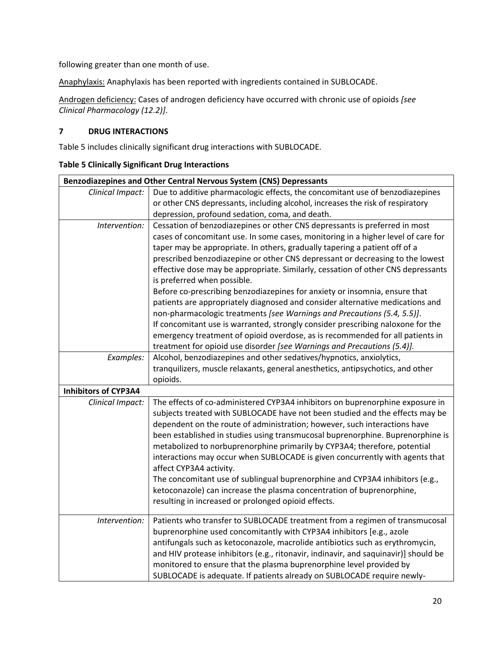following greater than one month of use.

Anaphylaxis: Anaphylaxis has been reported with ingredients contained in SUBLOCADE.

Androgen deficiency: Cases of androgen deficiency have occurred with chronic use of opioids *[see Clinical Pharmacology [\(12.2\)](#page-29-0)]*.

## **7 DRUG INTERACTIONS**

Table 5 includes clinically significant drug interactions with SUBLOCADE.

|  |  |  |  | <b>Table 5 Clinically Significant Drug Interactions</b> |
|--|--|--|--|---------------------------------------------------------|
|--|--|--|--|---------------------------------------------------------|

|                                                                               | Benzodiazepines and Other Central Nervous System (CNS) Depressants                                                                                                                                                                                                                                                                                                                                                                                                                                                                                                                                                                                                                                                                                                                                                                                                                                                                                                                                                                                                                                                                                                                                                                                                                                                                                                                                                                                                                                                                                                                                                                                                                                            |
|-------------------------------------------------------------------------------|---------------------------------------------------------------------------------------------------------------------------------------------------------------------------------------------------------------------------------------------------------------------------------------------------------------------------------------------------------------------------------------------------------------------------------------------------------------------------------------------------------------------------------------------------------------------------------------------------------------------------------------------------------------------------------------------------------------------------------------------------------------------------------------------------------------------------------------------------------------------------------------------------------------------------------------------------------------------------------------------------------------------------------------------------------------------------------------------------------------------------------------------------------------------------------------------------------------------------------------------------------------------------------------------------------------------------------------------------------------------------------------------------------------------------------------------------------------------------------------------------------------------------------------------------------------------------------------------------------------------------------------------------------------------------------------------------------------|
| Clinical Impact:                                                              | Due to additive pharmacologic effects, the concomitant use of benzodiazepines                                                                                                                                                                                                                                                                                                                                                                                                                                                                                                                                                                                                                                                                                                                                                                                                                                                                                                                                                                                                                                                                                                                                                                                                                                                                                                                                                                                                                                                                                                                                                                                                                                 |
|                                                                               | or other CNS depressants, including alcohol, increases the risk of respiratory                                                                                                                                                                                                                                                                                                                                                                                                                                                                                                                                                                                                                                                                                                                                                                                                                                                                                                                                                                                                                                                                                                                                                                                                                                                                                                                                                                                                                                                                                                                                                                                                                                |
|                                                                               | depression, profound sedation, coma, and death.                                                                                                                                                                                                                                                                                                                                                                                                                                                                                                                                                                                                                                                                                                                                                                                                                                                                                                                                                                                                                                                                                                                                                                                                                                                                                                                                                                                                                                                                                                                                                                                                                                                               |
| Intervention:                                                                 | Cessation of benzodiazepines or other CNS depressants is preferred in most                                                                                                                                                                                                                                                                                                                                                                                                                                                                                                                                                                                                                                                                                                                                                                                                                                                                                                                                                                                                                                                                                                                                                                                                                                                                                                                                                                                                                                                                                                                                                                                                                                    |
|                                                                               | cases of concomitant use. In some cases, monitoring in a higher level of care for                                                                                                                                                                                                                                                                                                                                                                                                                                                                                                                                                                                                                                                                                                                                                                                                                                                                                                                                                                                                                                                                                                                                                                                                                                                                                                                                                                                                                                                                                                                                                                                                                             |
|                                                                               | taper may be appropriate. In others, gradually tapering a patient off of a                                                                                                                                                                                                                                                                                                                                                                                                                                                                                                                                                                                                                                                                                                                                                                                                                                                                                                                                                                                                                                                                                                                                                                                                                                                                                                                                                                                                                                                                                                                                                                                                                                    |
|                                                                               | prescribed benzodiazepine or other CNS depressant or decreasing to the lowest                                                                                                                                                                                                                                                                                                                                                                                                                                                                                                                                                                                                                                                                                                                                                                                                                                                                                                                                                                                                                                                                                                                                                                                                                                                                                                                                                                                                                                                                                                                                                                                                                                 |
|                                                                               |                                                                                                                                                                                                                                                                                                                                                                                                                                                                                                                                                                                                                                                                                                                                                                                                                                                                                                                                                                                                                                                                                                                                                                                                                                                                                                                                                                                                                                                                                                                                                                                                                                                                                                               |
|                                                                               |                                                                                                                                                                                                                                                                                                                                                                                                                                                                                                                                                                                                                                                                                                                                                                                                                                                                                                                                                                                                                                                                                                                                                                                                                                                                                                                                                                                                                                                                                                                                                                                                                                                                                                               |
|                                                                               |                                                                                                                                                                                                                                                                                                                                                                                                                                                                                                                                                                                                                                                                                                                                                                                                                                                                                                                                                                                                                                                                                                                                                                                                                                                                                                                                                                                                                                                                                                                                                                                                                                                                                                               |
|                                                                               |                                                                                                                                                                                                                                                                                                                                                                                                                                                                                                                                                                                                                                                                                                                                                                                                                                                                                                                                                                                                                                                                                                                                                                                                                                                                                                                                                                                                                                                                                                                                                                                                                                                                                                               |
|                                                                               |                                                                                                                                                                                                                                                                                                                                                                                                                                                                                                                                                                                                                                                                                                                                                                                                                                                                                                                                                                                                                                                                                                                                                                                                                                                                                                                                                                                                                                                                                                                                                                                                                                                                                                               |
|                                                                               |                                                                                                                                                                                                                                                                                                                                                                                                                                                                                                                                                                                                                                                                                                                                                                                                                                                                                                                                                                                                                                                                                                                                                                                                                                                                                                                                                                                                                                                                                                                                                                                                                                                                                                               |
|                                                                               |                                                                                                                                                                                                                                                                                                                                                                                                                                                                                                                                                                                                                                                                                                                                                                                                                                                                                                                                                                                                                                                                                                                                                                                                                                                                                                                                                                                                                                                                                                                                                                                                                                                                                                               |
|                                                                               |                                                                                                                                                                                                                                                                                                                                                                                                                                                                                                                                                                                                                                                                                                                                                                                                                                                                                                                                                                                                                                                                                                                                                                                                                                                                                                                                                                                                                                                                                                                                                                                                                                                                                                               |
|                                                                               |                                                                                                                                                                                                                                                                                                                                                                                                                                                                                                                                                                                                                                                                                                                                                                                                                                                                                                                                                                                                                                                                                                                                                                                                                                                                                                                                                                                                                                                                                                                                                                                                                                                                                                               |
|                                                                               |                                                                                                                                                                                                                                                                                                                                                                                                                                                                                                                                                                                                                                                                                                                                                                                                                                                                                                                                                                                                                                                                                                                                                                                                                                                                                                                                                                                                                                                                                                                                                                                                                                                                                                               |
|                                                                               |                                                                                                                                                                                                                                                                                                                                                                                                                                                                                                                                                                                                                                                                                                                                                                                                                                                                                                                                                                                                                                                                                                                                                                                                                                                                                                                                                                                                                                                                                                                                                                                                                                                                                                               |
|                                                                               |                                                                                                                                                                                                                                                                                                                                                                                                                                                                                                                                                                                                                                                                                                                                                                                                                                                                                                                                                                                                                                                                                                                                                                                                                                                                                                                                                                                                                                                                                                                                                                                                                                                                                                               |
|                                                                               |                                                                                                                                                                                                                                                                                                                                                                                                                                                                                                                                                                                                                                                                                                                                                                                                                                                                                                                                                                                                                                                                                                                                                                                                                                                                                                                                                                                                                                                                                                                                                                                                                                                                                                               |
|                                                                               |                                                                                                                                                                                                                                                                                                                                                                                                                                                                                                                                                                                                                                                                                                                                                                                                                                                                                                                                                                                                                                                                                                                                                                                                                                                                                                                                                                                                                                                                                                                                                                                                                                                                                                               |
|                                                                               |                                                                                                                                                                                                                                                                                                                                                                                                                                                                                                                                                                                                                                                                                                                                                                                                                                                                                                                                                                                                                                                                                                                                                                                                                                                                                                                                                                                                                                                                                                                                                                                                                                                                                                               |
|                                                                               |                                                                                                                                                                                                                                                                                                                                                                                                                                                                                                                                                                                                                                                                                                                                                                                                                                                                                                                                                                                                                                                                                                                                                                                                                                                                                                                                                                                                                                                                                                                                                                                                                                                                                                               |
|                                                                               |                                                                                                                                                                                                                                                                                                                                                                                                                                                                                                                                                                                                                                                                                                                                                                                                                                                                                                                                                                                                                                                                                                                                                                                                                                                                                                                                                                                                                                                                                                                                                                                                                                                                                                               |
|                                                                               |                                                                                                                                                                                                                                                                                                                                                                                                                                                                                                                                                                                                                                                                                                                                                                                                                                                                                                                                                                                                                                                                                                                                                                                                                                                                                                                                                                                                                                                                                                                                                                                                                                                                                                               |
|                                                                               | The concomitant use of sublingual buprenorphine and CYP3A4 inhibitors (e.g.,                                                                                                                                                                                                                                                                                                                                                                                                                                                                                                                                                                                                                                                                                                                                                                                                                                                                                                                                                                                                                                                                                                                                                                                                                                                                                                                                                                                                                                                                                                                                                                                                                                  |
|                                                                               | ketoconazole) can increase the plasma concentration of buprenorphine,                                                                                                                                                                                                                                                                                                                                                                                                                                                                                                                                                                                                                                                                                                                                                                                                                                                                                                                                                                                                                                                                                                                                                                                                                                                                                                                                                                                                                                                                                                                                                                                                                                         |
|                                                                               | resulting in increased or prolonged opioid effects.                                                                                                                                                                                                                                                                                                                                                                                                                                                                                                                                                                                                                                                                                                                                                                                                                                                                                                                                                                                                                                                                                                                                                                                                                                                                                                                                                                                                                                                                                                                                                                                                                                                           |
|                                                                               |                                                                                                                                                                                                                                                                                                                                                                                                                                                                                                                                                                                                                                                                                                                                                                                                                                                                                                                                                                                                                                                                                                                                                                                                                                                                                                                                                                                                                                                                                                                                                                                                                                                                                                               |
|                                                                               |                                                                                                                                                                                                                                                                                                                                                                                                                                                                                                                                                                                                                                                                                                                                                                                                                                                                                                                                                                                                                                                                                                                                                                                                                                                                                                                                                                                                                                                                                                                                                                                                                                                                                                               |
|                                                                               |                                                                                                                                                                                                                                                                                                                                                                                                                                                                                                                                                                                                                                                                                                                                                                                                                                                                                                                                                                                                                                                                                                                                                                                                                                                                                                                                                                                                                                                                                                                                                                                                                                                                                                               |
|                                                                               |                                                                                                                                                                                                                                                                                                                                                                                                                                                                                                                                                                                                                                                                                                                                                                                                                                                                                                                                                                                                                                                                                                                                                                                                                                                                                                                                                                                                                                                                                                                                                                                                                                                                                                               |
|                                                                               |                                                                                                                                                                                                                                                                                                                                                                                                                                                                                                                                                                                                                                                                                                                                                                                                                                                                                                                                                                                                                                                                                                                                                                                                                                                                                                                                                                                                                                                                                                                                                                                                                                                                                                               |
|                                                                               | SUBLOCADE is adequate. If patients already on SUBLOCADE require newly-                                                                                                                                                                                                                                                                                                                                                                                                                                                                                                                                                                                                                                                                                                                                                                                                                                                                                                                                                                                                                                                                                                                                                                                                                                                                                                                                                                                                                                                                                                                                                                                                                                        |
| Examples:<br><b>Inhibitors of CYP3A4</b><br>Clinical Impact:<br>Intervention: | effective dose may be appropriate. Similarly, cessation of other CNS depressants<br>is preferred when possible.<br>Before co-prescribing benzodiazepines for anxiety or insomnia, ensure that<br>patients are appropriately diagnosed and consider alternative medications and<br>non-pharmacologic treatments [see Warnings and Precautions (5.4, 5.5)].<br>If concomitant use is warranted, strongly consider prescribing naloxone for the<br>emergency treatment of opioid overdose, as is recommended for all patients in<br>treatment for opioid use disorder [see Warnings and Precautions (5.4)].<br>Alcohol, benzodiazepines and other sedatives/hypnotics, anxiolytics,<br>tranquilizers, muscle relaxants, general anesthetics, antipsychotics, and other<br>opioids.<br>The effects of co-administered CYP3A4 inhibitors on buprenorphine exposure in<br>subjects treated with SUBLOCADE have not been studied and the effects may be<br>dependent on the route of administration; however, such interactions have<br>been established in studies using transmucosal buprenorphine. Buprenorphine is<br>metabolized to norbuprenorphine primarily by CYP3A4; therefore, potential<br>interactions may occur when SUBLOCADE is given concurrently with agents that<br>affect CYP3A4 activity.<br>Patients who transfer to SUBLOCADE treatment from a regimen of transmucosal<br>buprenorphine used concomitantly with CYP3A4 inhibitors [e.g., azole<br>antifungals such as ketoconazole, macrolide antibiotics such as erythromycin,<br>and HIV protease inhibitors (e.g., ritonavir, indinavir, and saquinavir)] should be<br>monitored to ensure that the plasma buprenorphine level provided by |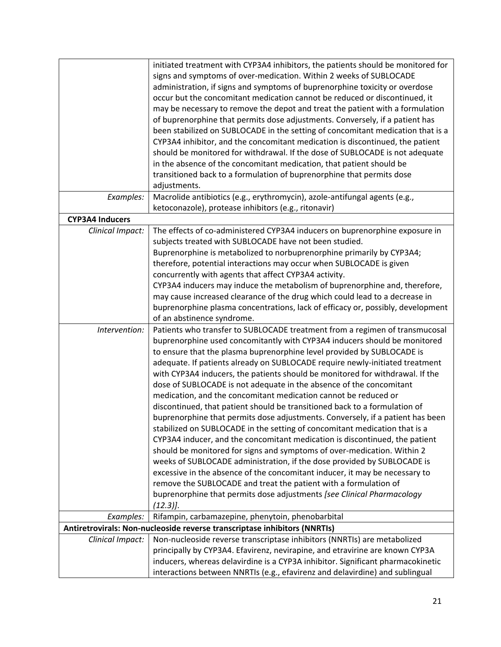|                        | initiated treatment with CYP3A4 inhibitors, the patients should be monitored for |
|------------------------|----------------------------------------------------------------------------------|
|                        | signs and symptoms of over-medication. Within 2 weeks of SUBLOCADE               |
|                        | administration, if signs and symptoms of buprenorphine toxicity or overdose      |
|                        | occur but the concomitant medication cannot be reduced or discontinued, it       |
|                        |                                                                                  |
|                        | may be necessary to remove the depot and treat the patient with a formulation    |
|                        | of buprenorphine that permits dose adjustments. Conversely, if a patient has     |
|                        | been stabilized on SUBLOCADE in the setting of concomitant medication that is a  |
|                        | CYP3A4 inhibitor, and the concomitant medication is discontinued, the patient    |
|                        | should be monitored for withdrawal. If the dose of SUBLOCADE is not adequate     |
|                        | in the absence of the concomitant medication, that patient should be             |
|                        | transitioned back to a formulation of buprenorphine that permits dose            |
|                        | adjustments.                                                                     |
| Examples:              | Macrolide antibiotics (e.g., erythromycin), azole-antifungal agents (e.g.,       |
|                        | ketoconazole), protease inhibitors (e.g., ritonavir)                             |
| <b>CYP3A4 Inducers</b> |                                                                                  |
| Clinical Impact:       | The effects of co-administered CYP3A4 inducers on buprenorphine exposure in      |
|                        | subjects treated with SUBLOCADE have not been studied.                           |
|                        | Buprenorphine is metabolized to norbuprenorphine primarily by CYP3A4;            |
|                        | therefore, potential interactions may occur when SUBLOCADE is given              |
|                        | concurrently with agents that affect CYP3A4 activity.                            |
|                        | CYP3A4 inducers may induce the metabolism of buprenorphine and, therefore,       |
|                        | may cause increased clearance of the drug which could lead to a decrease in      |
|                        | buprenorphine plasma concentrations, lack of efficacy or, possibly, development  |
|                        | of an abstinence syndrome.                                                       |
| Intervention:          | Patients who transfer to SUBLOCADE treatment from a regimen of transmucosal      |
|                        | buprenorphine used concomitantly with CYP3A4 inducers should be monitored        |
|                        | to ensure that the plasma buprenorphine level provided by SUBLOCADE is           |
|                        | adequate. If patients already on SUBLOCADE require newly-initiated treatment     |
|                        | with CYP3A4 inducers, the patients should be monitored for withdrawal. If the    |
|                        | dose of SUBLOCADE is not adequate in the absence of the concomitant              |
|                        | medication, and the concomitant medication cannot be reduced or                  |
|                        | discontinued, that patient should be transitioned back to a formulation of       |
|                        | buprenorphine that permits dose adjustments. Conversely, if a patient has been   |
|                        | stabilized on SUBLOCADE in the setting of concomitant medication that is a       |
|                        |                                                                                  |
|                        | CYP3A4 inducer, and the concomitant medication is discontinued, the patient      |
|                        | should be monitored for signs and symptoms of over-medication. Within 2          |
|                        | weeks of SUBLOCADE administration, if the dose provided by SUBLOCADE is          |
|                        | excessive in the absence of the concomitant inducer, it may be necessary to      |
|                        | remove the SUBLOCADE and treat the patient with a formulation of                 |
|                        | buprenorphine that permits dose adjustments [see Clinical Pharmacology           |
|                        | $(12.3)$ .                                                                       |
| Examples:              | Rifampin, carbamazepine, phenytoin, phenobarbital                                |
|                        | Antiretrovirals: Non-nucleoside reverse transcriptase inhibitors (NNRTIs)        |
| Clinical Impact:       | Non-nucleoside reverse transcriptase inhibitors (NNRTIs) are metabolized         |
|                        | principally by CYP3A4. Efavirenz, nevirapine, and etravirine are known CYP3A     |
|                        | inducers, whereas delavirdine is a CYP3A inhibitor. Significant pharmacokinetic  |
|                        | interactions between NNRTIs (e.g., efavirenz and delavirdine) and sublingual     |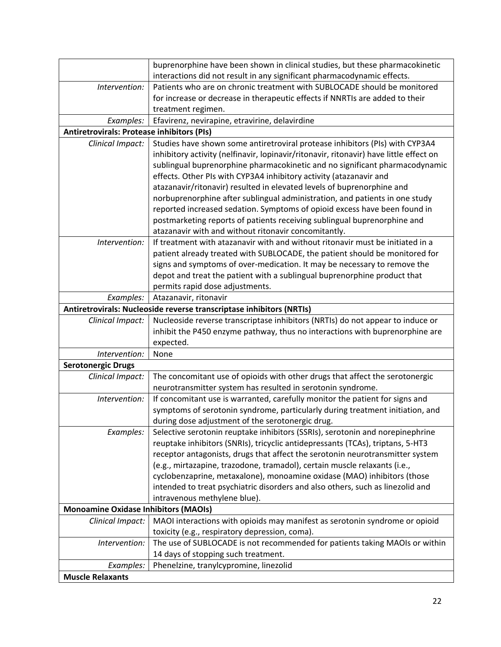|                                                   | buprenorphine have been shown in clinical studies, but these pharmacokinetic                                                                |
|---------------------------------------------------|---------------------------------------------------------------------------------------------------------------------------------------------|
|                                                   | interactions did not result in any significant pharmacodynamic effects.                                                                     |
| Intervention:                                     | Patients who are on chronic treatment with SUBLOCADE should be monitored                                                                    |
|                                                   | for increase or decrease in therapeutic effects if NNRTIs are added to their                                                                |
|                                                   | treatment regimen.                                                                                                                          |
| Examples:                                         | Efavirenz, nevirapine, etravirine, delavirdine                                                                                              |
| <b>Antiretrovirals: Protease inhibitors (PIs)</b> |                                                                                                                                             |
| Clinical Impact:                                  | Studies have shown some antiretroviral protease inhibitors (PIs) with CYP3A4                                                                |
|                                                   | inhibitory activity (nelfinavir, lopinavir/ritonavir, ritonavir) have little effect on                                                      |
|                                                   | sublingual buprenorphine pharmacokinetic and no significant pharmacodynamic                                                                 |
|                                                   | effects. Other PIs with CYP3A4 inhibitory activity (atazanavir and                                                                          |
|                                                   | atazanavir/ritonavir) resulted in elevated levels of buprenorphine and                                                                      |
|                                                   | norbuprenorphine after sublingual administration, and patients in one study                                                                 |
|                                                   | reported increased sedation. Symptoms of opioid excess have been found in                                                                   |
|                                                   | postmarketing reports of patients receiving sublingual buprenorphine and                                                                    |
|                                                   | atazanavir with and without ritonavir concomitantly.                                                                                        |
| Intervention:                                     | If treatment with atazanavir with and without ritonavir must be initiated in a                                                              |
|                                                   | patient already treated with SUBLOCADE, the patient should be monitored for                                                                 |
|                                                   | signs and symptoms of over-medication. It may be necessary to remove the                                                                    |
|                                                   | depot and treat the patient with a sublingual buprenorphine product that                                                                    |
|                                                   | permits rapid dose adjustments.                                                                                                             |
| Examples:                                         | Atazanavir, ritonavir                                                                                                                       |
|                                                   | Antiretrovirals: Nucleoside reverse transcriptase inhibitors (NRTIs)                                                                        |
| Clinical Impact:                                  | Nucleoside reverse transcriptase inhibitors (NRTIs) do not appear to induce or                                                              |
|                                                   | inhibit the P450 enzyme pathway, thus no interactions with buprenorphine are                                                                |
|                                                   | expected.                                                                                                                                   |
| Intervention:                                     | None                                                                                                                                        |
| <b>Serotonergic Drugs</b>                         |                                                                                                                                             |
| Clinical Impact:                                  | The concomitant use of opioids with other drugs that affect the serotonergic<br>neurotransmitter system has resulted in serotonin syndrome. |
| Intervention:                                     | If concomitant use is warranted, carefully monitor the patient for signs and                                                                |
|                                                   | symptoms of serotonin syndrome, particularly during treatment initiation, and                                                               |
|                                                   | during dose adjustment of the serotonergic drug.                                                                                            |
| Examples:                                         | Selective serotonin reuptake inhibitors (SSRIs), serotonin and norepinephrine                                                               |
|                                                   | reuptake inhibitors (SNRIs), tricyclic antidepressants (TCAs), triptans, 5-HT3                                                              |
|                                                   | receptor antagonists, drugs that affect the serotonin neurotransmitter system                                                               |
|                                                   | (e.g., mirtazapine, trazodone, tramadol), certain muscle relaxants (i.e.,                                                                   |
|                                                   | cyclobenzaprine, metaxalone), monoamine oxidase (MAO) inhibitors (those                                                                     |
|                                                   | intended to treat psychiatric disorders and also others, such as linezolid and                                                              |
|                                                   | intravenous methylene blue).                                                                                                                |
| <b>Monoamine Oxidase Inhibitors (MAOIs)</b>       |                                                                                                                                             |
| Clinical Impact:                                  | MAOI interactions with opioids may manifest as serotonin syndrome or opioid                                                                 |
|                                                   | toxicity (e.g., respiratory depression, coma).                                                                                              |
| Intervention:                                     | The use of SUBLOCADE is not recommended for patients taking MAOIs or within                                                                 |
|                                                   | 14 days of stopping such treatment.                                                                                                         |
| Examples:                                         | Phenelzine, tranylcypromine, linezolid                                                                                                      |
| <b>Muscle Relaxants</b>                           |                                                                                                                                             |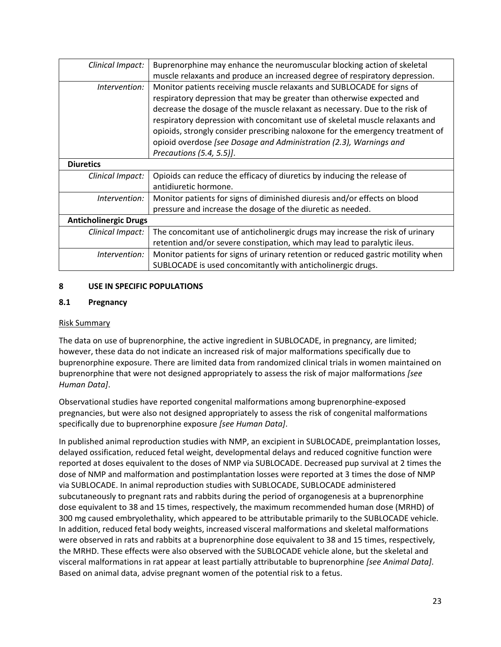| Clinical Impact:             | Buprenorphine may enhance the neuromuscular blocking action of skeletal          |
|------------------------------|----------------------------------------------------------------------------------|
|                              | muscle relaxants and produce an increased degree of respiratory depression.      |
| Intervention:                | Monitor patients receiving muscle relaxants and SUBLOCADE for signs of           |
|                              | respiratory depression that may be greater than otherwise expected and           |
|                              | decrease the dosage of the muscle relaxant as necessary. Due to the risk of      |
|                              | respiratory depression with concomitant use of skeletal muscle relaxants and     |
|                              | opioids, strongly consider prescribing naloxone for the emergency treatment of   |
|                              | opioid overdose [see Dosage and Administration (2.3), Warnings and               |
|                              | Precautions (5.4, 5.5)].                                                         |
| <b>Diuretics</b>             |                                                                                  |
| Clinical Impact:             | Opioids can reduce the efficacy of diuretics by inducing the release of          |
|                              | antidiuretic hormone.                                                            |
| Intervention:                | Monitor patients for signs of diminished diuresis and/or effects on blood        |
|                              | pressure and increase the dosage of the diuretic as needed.                      |
| <b>Anticholinergic Drugs</b> |                                                                                  |
| Clinical Impact:             | The concomitant use of anticholinergic drugs may increase the risk of urinary    |
|                              | retention and/or severe constipation, which may lead to paralytic ileus.         |
| Intervention:                | Monitor patients for signs of urinary retention or reduced gastric motility when |
|                              | SUBLOCADE is used concomitantly with anticholinergic drugs.                      |
|                              |                                                                                  |

### **8 USE IN SPECIFIC POPULATIONS**

### <span id="page-22-0"></span>**8.1 Pregnancy**

### Risk Summary

The data on use of buprenorphine, the active ingredient in SUBLOCADE, in pregnancy, are limited; however, these data do not indicate an increased risk of major malformations specifically due to buprenorphine exposure. There are limited data from randomized clinical trials in women maintained on buprenorphine that were not designed appropriately to assess the risk of major malformations *[see Human Data]*.

Observational studies have reported congenital malformations among buprenorphine‐exposed pregnancies, but were also not designed appropriately to assess the risk of congenital malformations specifically due to buprenorphine exposure *[see Human Data]*.

In published animal reproduction studies with NMP, an excipient in SUBLOCADE, preimplantation losses, delayed ossification, reduced fetal weight, developmental delays and reduced cognitive function were reported at doses equivalent to the doses of NMP via SUBLOCADE. Decreased pup survival at 2 times the dose of NMP and malformation and postimplantation losses were reported at 3 times the dose of NMP via SUBLOCADE. In animal reproduction studies with SUBLOCADE, SUBLOCADE administered subcutaneously to pregnant rats and rabbits during the period of organogenesis at a buprenorphine dose equivalent to 38 and 15 times, respectively, the maximum recommended human dose (MRHD) of 300 mg caused embryolethality, which appeared to be attributable primarily to the SUBLOCADE vehicle. In addition, reduced fetal body weights, increased visceral malformations and skeletal malformations were observed in rats and rabbits at a buprenorphine dose equivalent to 38 and 15 times, respectively, the MRHD. These effects were also observed with the SUBLOCADE vehicle alone, but the skeletal and visceral malformations in rat appear at least partially attributable to buprenorphine *[see Animal Data]*. Based on animal data, advise pregnant women of the potential risk to a fetus.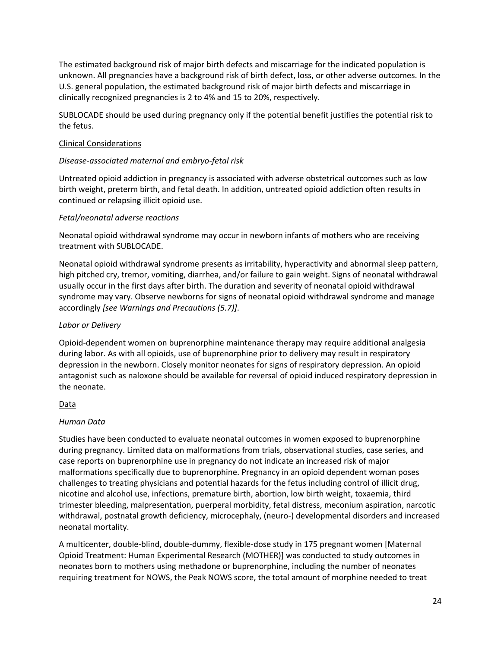The estimated background risk of major birth defects and miscarriage for the indicated population is unknown. All pregnancies have a background risk of birth defect, loss, or other adverse outcomes. In the U.S. general population, the estimated background risk of major birth defects and miscarriage in clinically recognized pregnancies is 2 to 4% and 15 to 20%, respectively.

SUBLOCADE should be used during pregnancy only if the potential benefit justifies the potential risk to the fetus.

### Clinical Considerations

### *Disease-associated maternal and embryo-fetal risk*

Untreated opioid addiction in pregnancy is associated with adverse obstetrical outcomes such as low birth weight, preterm birth, and fetal death. In addition, untreated opioid addiction often results in continued or relapsing illicit opioid use.

### *Fetal/neonatal adverse reactions*

Neonatal opioid withdrawal syndrome may occur in newborn infants of mothers who are receiving treatment with SUBLOCADE.

Neonatal opioid withdrawal syndrome presents as irritability, hyperactivity and abnormal sleep pattern, high pitched cry, tremor, vomiting, diarrhea, and/or failure to gain weight. Signs of neonatal withdrawal usually occur in the first days after birth. The duration and severity of neonatal opioid withdrawal syndrome may vary. Observe newborns for signs of neonatal opioid withdrawal syndrome and manage accordingly *[see Warnings and Precautions (5.7)]*.

### *Labor or Delivery*

Opioid-dependent women on buprenorphine maintenance therapy may require additional analgesia during labor. As with all opioids, use of buprenorphine prior to delivery may result in respiratory depression in the newborn. Closely monitor neonates for signs of respiratory depression. An opioid antagonist such as naloxone should be available for reversal of opioid induced respiratory depression in the neonate.

### Data

## *Human Data*

Studies have been conducted to evaluate neonatal outcomes in women exposed to buprenorphine during pregnancy. Limited data on malformations from trials, observational studies, case series, and case reports on buprenorphine use in pregnancy do not indicate an increased risk of major malformations specifically due to buprenorphine. Pregnancy in an opioid dependent woman poses challenges to treating physicians and potential hazards for the fetus including control of illicit drug, nicotine and alcohol use, infections, premature birth, abortion, low birth weight, toxaemia, third trimester bleeding, malpresentation, puerperal morbidity, fetal distress, meconium aspiration, narcotic withdrawal, postnatal growth deficiency, microcephaly, (neuro-) developmental disorders and increased neonatal mortality.

A multicenter, double-blind, double-dummy, flexible-dose study in 175 pregnant women [Maternal Opioid Treatment: Human Experimental Research (MOTHER)] was conducted to study outcomes in neonates born to mothers using methadone or buprenorphine, including the number of neonates requiring treatment for NOWS, the Peak NOWS score, the total amount of morphine needed to treat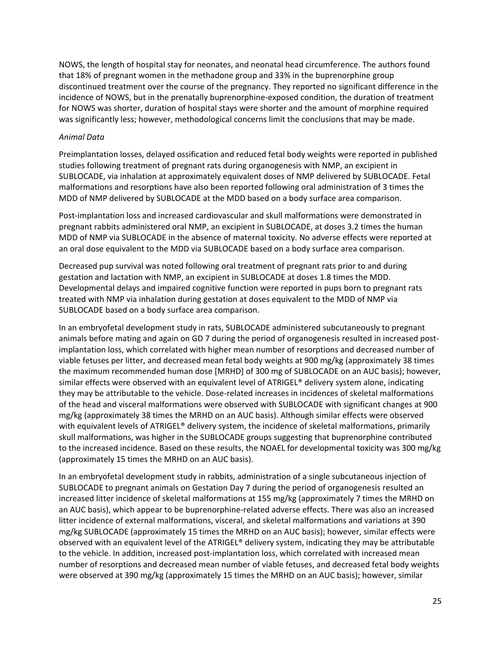NOWS, the length of hospital stay for neonates, and neonatal head circumference. The authors found that 18% of pregnant women in the methadone group and 33% in the buprenorphine group discontinued treatment over the course of the pregnancy. They reported no significant difference in the incidence of NOWS, but in the prenatally buprenorphine-exposed condition, the duration of treatment for NOWS was shorter, duration of hospital stays were shorter and the amount of morphine required was significantly less; however, methodological concerns limit the conclusions that may be made.

### *Animal Data*

Preimplantation losses, delayed ossification and reduced fetal body weights were reported in published studies following treatment of pregnant rats during organogenesis with NMP, an excipient in SUBLOCADE, via inhalation at approximately equivalent doses of NMP delivered by SUBLOCADE. Fetal malformations and resorptions have also been reported following oral administration of 3 times the MDD of NMP delivered by SUBLOCADE at the MDD based on a body surface area comparison.

Post-implantation loss and increased cardiovascular and skull malformations were demonstrated in pregnant rabbits administered oral NMP, an excipient in SUBLOCADE, at doses 3.2 times the human MDD of NMP via SUBLOCADE in the absence of maternal toxicity. No adverse effects were reported at an oral dose equivalent to the MDD via SUBLOCADE based on a body surface area comparison.

Decreased pup survival was noted following oral treatment of pregnant rats prior to and during gestation and lactation with NMP, an excipient in SUBLOCADE at doses 1.8 times the MDD. Developmental delays and impaired cognitive function were reported in pups born to pregnant rats treated with NMP via inhalation during gestation at doses equivalent to the MDD of NMP via SUBLOCADE based on a body surface area comparison.

In an embryofetal development study in rats, SUBLOCADE administered subcutaneously to pregnant animals before mating and again on GD 7 during the period of organogenesis resulted in increased postimplantation loss, which correlated with higher mean number of resorptions and decreased number of viable fetuses per litter, and decreased mean fetal body weights at 900 mg/kg (approximately 38 times the maximum recommended human dose [MRHD] of 300 mg of SUBLOCADE on an AUC basis); however, similar effects were observed with an equivalent level of ATRIGEL® delivery system alone, indicating they may be attributable to the vehicle. Dose-related increases in incidences of skeletal malformations of the head and visceral malformations were observed with SUBLOCADE with significant changes at 900 mg/kg (approximately 38 times the MRHD on an AUC basis). Although similar effects were observed with equivalent levels of ATRIGEL® delivery system, the incidence of skeletal malformations, primarily skull malformations, was higher in the SUBLOCADE groups suggesting that buprenorphine contributed to the increased incidence. Based on these results, the NOAEL for developmental toxicity was 300 mg/kg (approximately 15 times the MRHD on an AUC basis).

In an embryofetal development study in rabbits, administration of a single subcutaneous injection of SUBLOCADE to pregnant animals on Gestation Day 7 during the period of organogenesis resulted an increased litter incidence of skeletal malformations at 155 mg/kg (approximately 7 times the MRHD on an AUC basis), which appear to be buprenorphine-related adverse effects. There was also an increased litter incidence of external malformations, visceral, and skeletal malformations and variations at 390 mg/kg SUBLOCADE (approximately 15 times the MRHD on an AUC basis); however, similar effects were observed with an equivalent level of the ATRIGEL® delivery system, indicating they may be attributable to the vehicle. In addition, increased post-implantation loss, which correlated with increased mean number of resorptions and decreased mean number of viable fetuses, and decreased fetal body weights were observed at 390 mg/kg (approximately 15 times the MRHD on an AUC basis); however, similar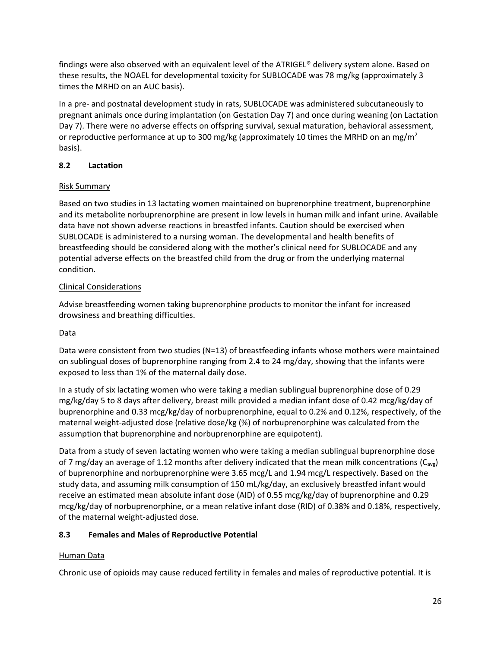findings were also observed with an equivalent level of the ATRIGEL® delivery system alone. Based on these results, the NOAEL for developmental toxicity for SUBLOCADE was 78 mg/kg (approximately 3 times the MRHD on an AUC basis).

In a pre- and postnatal development study in rats, SUBLOCADE was administered subcutaneously to pregnant animals once during implantation (on Gestation Day 7) and once during weaning (on Lactation Day 7). There were no adverse effects on offspring survival, sexual maturation, behavioral assessment, or reproductive performance at up to 300 mg/kg (approximately 10 times the MRHD on an mg/m<sup>2</sup> basis).

## **8.2 Lactation**

## Risk Summary

Based on two studies in 13 lactating women maintained on buprenorphine treatment, buprenorphine and its metabolite norbuprenorphine are present in low levels in human milk and infant urine. Available data have not shown adverse reactions in breastfed infants. Caution should be exercised when SUBLOCADE is administered to a nursing woman. The developmental and health benefits of breastfeeding should be considered along with the mother's clinical need for SUBLOCADE and any potential adverse effects on the breastfed child from the drug or from the underlying maternal condition.

## Clinical Considerations

Advise breastfeeding women taking buprenorphine products to monitor the infant for increased drowsiness and breathing difficulties.

# Data

Data were consistent from two studies (N=13) of breastfeeding infants whose mothers were maintained on sublingual doses of buprenorphine ranging from 2.4 to 24 mg/day, showing that the infants were exposed to less than 1% of the maternal daily dose.

In a study of six lactating women who were taking a median sublingual buprenorphine dose of 0.29 mg/kg/day 5 to 8 days after delivery, breast milk provided a median infant dose of 0.42 mcg/kg/day of buprenorphine and 0.33 mcg/kg/day of norbuprenorphine, equal to 0.2% and 0.12%, respectively, of the maternal weight-adjusted dose (relative dose/kg (%) of norbuprenorphine was calculated from the assumption that buprenorphine and norbuprenorphine are equipotent).

Data from a study of seven lactating women who were taking a median sublingual buprenorphine dose of 7 mg/day an average of 1.12 months after delivery indicated that the mean milk concentrations ( $C_{avg}$ ) of buprenorphine and norbuprenorphine were 3.65 mcg/L and 1.94 mcg/L respectively. Based on the study data, and assuming milk consumption of 150 mL/kg/day, an exclusively breastfed infant would receive an estimated mean absolute infant dose (AID) of 0.55 mcg/kg/day of buprenorphine and 0.29 mcg/kg/day of norbuprenorphine, or a mean relative infant dose (RID) of 0.38% and 0.18%, respectively, of the maternal weight-adjusted dose.

# **8.3 Females and Males of Reproductive Potential**

# Human Data

Chronic use of opioids may cause reduced fertility in females and males of reproductive potential. It is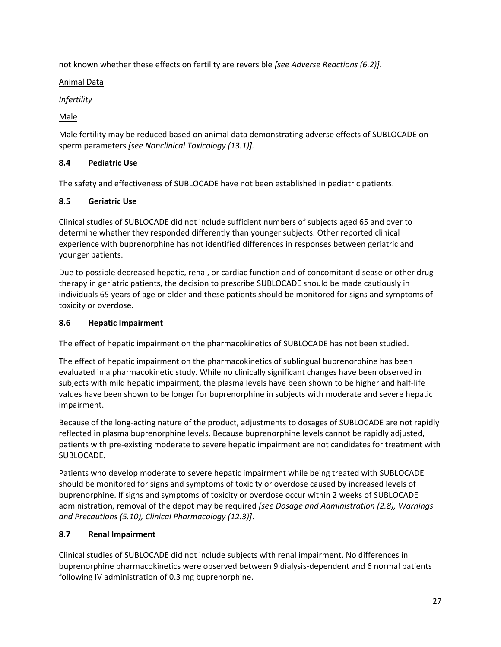not known whether these effects on fertility are reversible *[see Adverse Reactions [\(6.2\)](#page-18-0)]*.

Animal Data

*Infertility*

Male

Male fertility may be reduced based on animal data demonstrating adverse effects of SUBLOCADE on sperm parameters *[see Nonclinical Toxicology [\(13.1\)](#page-35-0)].*

# **8.4 Pediatric Use**

The safety and effectiveness of SUBLOCADE have not been established in pediatric patients.

## **8.5 Geriatric Use**

Clinical studies of SUBLOCADE did not include sufficient numbers of subjects aged 65 and over to determine whether they responded differently than younger subjects. Other reported clinical experience with buprenorphine has not identified differences in responses between geriatric and younger patients.

Due to possible decreased hepatic, renal, or cardiac function and of concomitant disease or other drug therapy in geriatric patients, the decision to prescribe SUBLOCADE should be made cautiously in individuals 65 years of age or older and these patients should be monitored for signs and symptoms of toxicity or overdose.

## <span id="page-26-0"></span>**8.6 Hepatic Impairment**

The effect of hepatic impairment on the pharmacokinetics of SUBLOCADE has not been studied.

The effect of hepatic impairment on the pharmacokinetics of sublingual buprenorphine has been evaluated in a pharmacokinetic study. While no clinically significant changes have been observed in subjects with mild hepatic impairment, the plasma levels have been shown to be higher and half-life values have been shown to be longer for buprenorphine in subjects with moderate and severe hepatic impairment.

Because of the long-acting nature of the product, adjustments to dosages of SUBLOCADE are not rapidly reflected in plasma buprenorphine levels. Because buprenorphine levels cannot be rapidly adjusted, patients with pre-existing moderate to severe hepatic impairment are not candidates for treatment with SUBLOCADE.

Patients who develop moderate to severe hepatic impairment while being treated with SUBLOCADE should be monitored for signs and symptoms of toxicity or overdose caused by increased levels of buprenorphine. If signs and symptoms of toxicity or overdose occur within 2 weeks of SUBLOCADE administration, removal of the depot may be required *[see Dosage and Administration (2.8), Warnings and Precautions (5.10), Clinical Pharmacology [\(12.3\)](#page-32-0)]*.

# **8.7 Renal Impairment**

Clinical studies of SUBLOCADE did not include subjects with renal impairment. No differences in buprenorphine pharmacokinetics were observed between 9 dialysis-dependent and 6 normal patients following IV administration of 0.3 mg buprenorphine.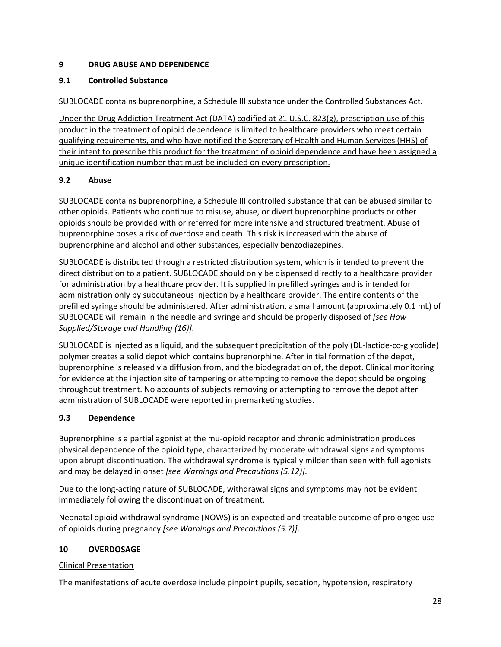## **9 DRUG ABUSE AND DEPENDENCE**

## **9.1 Controlled Substance**

SUBLOCADE contains buprenorphine, a Schedule III substance under the Controlled Substances Act.

Under the Drug Addiction Treatment Act (DATA) codified at 21 U.S.C. 823(g), prescription use of this product in the treatment of opioid dependence is limited to healthcare providers who meet certain qualifying requirements, and who have notified the Secretary of Health and Human Services (HHS) of their intent to prescribe this product for the treatment of opioid dependence and have been assigned a unique identification number that must be included on every prescription.

# <span id="page-27-0"></span>**9.2 Abuse**

SUBLOCADE contains buprenorphine, a Schedule III controlled substance that can be abused similar to other opioids. Patients who continue to misuse, abuse, or divert buprenorphine products or other opioids should be provided with or referred for more intensive and structured treatment. Abuse of buprenorphine poses a risk of overdose and death. This risk is increased with the abuse of buprenorphine and alcohol and other substances, especially benzodiazepines.

SUBLOCADE is distributed through a restricted distribution system, which is intended to prevent the direct distribution to a patient. SUBLOCADE should only be dispensed directly to a healthcare provider for administration by a healthcare provider. It is supplied in prefilled syringes and is intended for administration only by subcutaneous injection by a healthcare provider. The entire contents of the prefilled syringe should be administered. After administration, a small amount (approximately 0.1 mL) of SUBLOCADE will remain in the needle and syringe and should be properly disposed of *[see How Supplied/Storage and Handling (16)]*.

SUBLOCADE is injected as a liquid, and the subsequent precipitation of the poly (DL-lactide-co-glycolide) polymer creates a solid depot which contains buprenorphine. After initial formation of the depot, buprenorphine is released via diffusion from, and the biodegradation of, the depot. Clinical monitoring for evidence at the injection site of tampering or attempting to remove the depot should be ongoing throughout treatment. No accounts of subjects removing or attempting to remove the depot after administration of SUBLOCADE were reported in premarketing studies.

# <span id="page-27-1"></span>**9.3 Dependence**

Buprenorphine is a partial agonist at the mu-opioid receptor and chronic administration produces physical dependence of the opioid type, characterized by moderate withdrawal signs and symptoms upon abrupt discontinuation. The withdrawal syndrome is typically milder than seen with full agonists and may be delayed in onset *[see Warnings and Precautions (5.12)]*.

Due to the long-acting nature of SUBLOCADE, withdrawal signs and symptoms may not be evident immediately following the discontinuation of treatment.

Neonatal opioid withdrawal syndrome (NOWS) is an expected and treatable outcome of prolonged use of opioids during pregnancy *[see Warnings and Precautions (5.7)]*.

## **10 OVERDOSAGE**

## Clinical Presentation

The manifestations of acute overdose include pinpoint pupils, sedation, hypotension, respiratory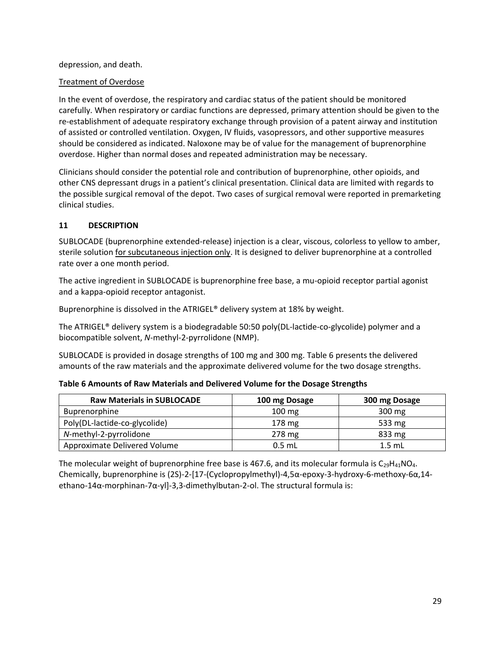### depression, and death.

### Treatment of Overdose

In the event of overdose, the respiratory and cardiac status of the patient should be monitored carefully. When respiratory or cardiac functions are depressed, primary attention should be given to the re-establishment of adequate respiratory exchange through provision of a patent airway and institution of assisted or controlled ventilation. Oxygen, IV fluids, vasopressors, and other supportive measures should be considered as indicated. Naloxone may be of value for the management of buprenorphine overdose. Higher than normal doses and repeated administration may be necessary.

Clinicians should consider the potential role and contribution of buprenorphine, other opioids, and other CNS depressant drugs in a patient's clinical presentation. Clinical data are limited with regards to the possible surgical removal of the depot. Two cases of surgical removal were reported in premarketing clinical studies.

### **11 DESCRIPTION**

SUBLOCADE (buprenorphine extended-release) injection is a clear, viscous, colorless to yellow to amber, sterile solution for subcutaneous injection only. It is designed to deliver buprenorphine at a controlled rate over a one month period.

The active ingredient in SUBLOCADE is buprenorphine free base, a mu-opioid receptor partial agonist and a kappa-opioid receptor antagonist.

Buprenorphine is dissolved in the ATRIGEL® delivery system at 18% by weight.

The ATRIGEL® delivery system is a biodegradable 50:50 poly(DL-lactide-co-glycolide) polymer and a biocompatible solvent, *N*-methyl-2-pyrrolidone (NMP).

SUBLOCADE is provided in dosage strengths of 100 mg and 300 mg. Table 6 presents the delivered amounts of the raw materials and the approximate delivered volume for the two dosage strengths.

| Table 6 Amounts of Raw Materials and Delivered Volume for the Dosage Strengths |  |
|--------------------------------------------------------------------------------|--|
|--------------------------------------------------------------------------------|--|

| <b>Raw Materials in SUBLOCADE</b> | 100 mg Dosage    | 300 mg Dosage |
|-----------------------------------|------------------|---------------|
| <b>Buprenorphine</b>              | $100 \text{ mg}$ | 300 mg        |
| Poly(DL-lactide-co-glycolide)     | $178 \text{ mg}$ | 533 mg        |
| N-methyl-2-pyrrolidone            | 278 mg           | 833 mg        |
| Approximate Delivered Volume      | $0.5$ mL         | $1.5$ mL      |

The molecular weight of buprenorphine free base is 467.6, and its molecular formula is  $C_{29}H_{41}NO<sub>4</sub>$ . Chemically, buprenorphine is (2S)-2-[17-(Cyclopropylmethyl)-4,5α-epoxy-3-hydroxy-6-methoxy-6α,14 ethano-14α-morphinan-7α-yl]-3,3-dimethylbutan-2-ol. The structural formula is: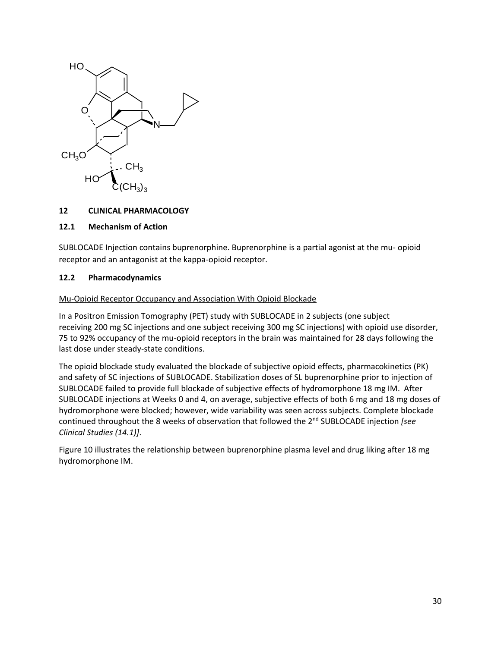

### **12 CLINICAL PHARMACOLOGY**

#### **12.1 Mechanism of Action**

SUBLOCADE Injection contains buprenorphine. Buprenorphine is a partial agonist at the mu- opioid receptor and an antagonist at the kappa-opioid receptor.

#### <span id="page-29-0"></span>**12.2 Pharmacodynamics**

#### Mu-Opioid Receptor Occupancy and Association With Opioid Blockade

In a Positron Emission Tomography (PET) study with SUBLOCADE in 2 subjects (one subject receiving 200 mg SC injections and one subject receiving 300 mg SC injections) with opioid use disorder, 75 to 92% occupancy of the mu-opioid receptors in the brain was maintained for 28 days following the last dose under steady-state conditions.

The opioid blockade study evaluated the blockade of subjective opioid effects, pharmacokinetics (PK) and safety of SC injections of SUBLOCADE. Stabilization doses of SL buprenorphine prior to injection of SUBLOCADE failed to provide full blockade of subjective effects of hydromorphone 18 mg IM. After SUBLOCADE injections at Weeks 0 and 4, on average, subjective effects of both 6 mg and 18 mg doses of hydromorphone were blocked; however, wide variability was seen across subjects. Complete blockade continued throughout the 8 weeks of observation that followed the 2nd SUBLOCADE injection *[see Clinical Studies (14.1)]*.

Figure 10 illustrates the relationship between buprenorphine plasma level and drug liking after 18 mg hydromorphone IM.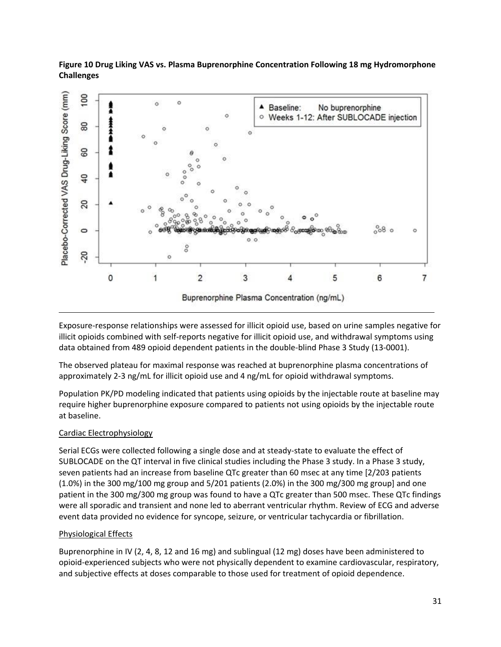### **Figure 10 Drug Liking VAS vs. Plasma Buprenorphine Concentration Following 18 mg Hydromorphone Challenges**



Exposure-response relationships were assessed for illicit opioid use, based on urine samples negative for illicit opioids combined with self-reports negative for illicit opioid use, and withdrawal symptoms using data obtained from 489 opioid dependent patients in the double-blind Phase 3 Study (13-0001).

The observed plateau for maximal response was reached at buprenorphine plasma concentrations of approximately 2-3 ng/mL for illicit opioid use and 4 ng/mL for opioid withdrawal symptoms.

Population PK/PD modeling indicated that patients using opioids by the injectable route at baseline may require higher buprenorphine exposure compared to patients not using opioids by the injectable route at baseline.

## Cardiac Electrophysiology

Serial ECGs were collected following a single dose and at steady-state to evaluate the effect of SUBLOCADE on the QT interval in five clinical studies including the Phase 3 study. In a Phase 3 study, seven patients had an increase from baseline QTc greater than 60 msec at any time [2/203 patients (1.0%) in the 300 mg/100 mg group and 5/201 patients (2.0%) in the 300 mg/300 mg group] and one patient in the 300 mg/300 mg group was found to have a QTc greater than 500 msec. These QTc findings were all sporadic and transient and none led to aberrant ventricular rhythm. Review of ECG and adverse event data provided no evidence for syncope, seizure, or ventricular tachycardia or fibrillation.

### Physiological Effects

Buprenorphine in IV (2, 4, 8, 12 and 16 mg) and sublingual (12 mg) doses have been administered to opioid-experienced subjects who were not physically dependent to examine cardiovascular, respiratory, and subjective effects at doses comparable to those used for treatment of opioid dependence.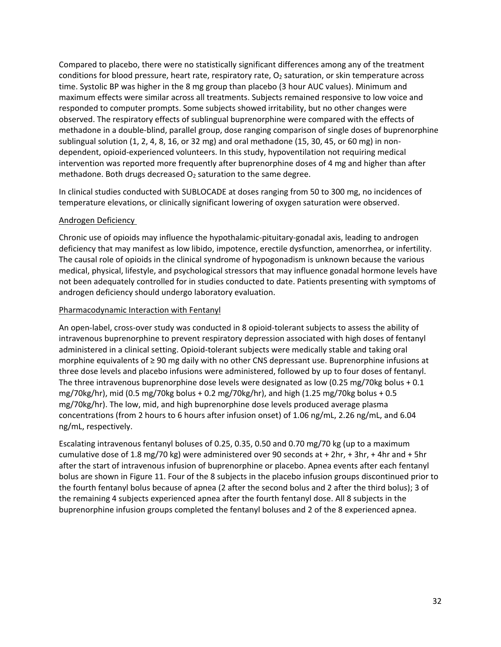Compared to placebo, there were no statistically significant differences among any of the treatment conditions for blood pressure, heart rate, respiratory rate, O<sub>2</sub> saturation, or skin temperature across time. Systolic BP was higher in the 8 mg group than placebo (3 hour AUC values). Minimum and maximum effects were similar across all treatments. Subjects remained responsive to low voice and responded to computer prompts. Some subjects showed irritability, but no other changes were observed. The respiratory effects of sublingual buprenorphine were compared with the effects of methadone in a double-blind, parallel group, dose ranging comparison of single doses of buprenorphine sublingual solution  $(1, 2, 4, 8, 16, \text{ or } 32 \text{ mg})$  and oral methadone  $(15, 30, 45, \text{ or } 60 \text{ mg})$  in nondependent, opioid-experienced volunteers. In this study, hypoventilation not requiring medical intervention was reported more frequently after buprenorphine doses of 4 mg and higher than after methadone. Both drugs decreased  $O<sub>2</sub>$  saturation to the same degree.

In clinical studies conducted with SUBLOCADE at doses ranging from 50 to 300 mg, no incidences of temperature elevations, or clinically significant lowering of oxygen saturation were observed.

### Androgen Deficiency

Chronic use of opioids may influence the hypothalamic-pituitary-gonadal axis, leading to androgen deficiency that may manifest as low libido, impotence, erectile dysfunction, amenorrhea, or infertility. The causal role of opioids in the clinical syndrome of hypogonadism is unknown because the various medical, physical, lifestyle, and psychological stressors that may influence gonadal hormone levels have not been adequately controlled for in studies conducted to date. Patients presenting with symptoms of androgen deficiency should undergo laboratory evaluation.

#### Pharmacodynamic Interaction with Fentanyl

An open-label, cross-over study was conducted in 8 opioid-tolerant subjects to assess the ability of intravenous buprenorphine to prevent respiratory depression associated with high doses of fentanyl administered in a clinical setting. Opioid-tolerant subjects were medically stable and taking oral morphine equivalents of ≥ 90 mg daily with no other CNS depressant use. Buprenorphine infusions at three dose levels and placebo infusions were administered, followed by up to four doses of fentanyl. The three intravenous buprenorphine dose levels were designated as low (0.25 mg/70kg bolus + 0.1 mg/70kg/hr), mid (0.5 mg/70kg bolus + 0.2 mg/70kg/hr), and high (1.25 mg/70kg bolus + 0.5 mg/70kg/hr). The low, mid, and high buprenorphine dose levels produced average plasma concentrations (from 2 hours to 6 hours after infusion onset) of 1.06 ng/mL, 2.26 ng/mL, and 6.04 ng/mL, respectively.

Escalating intravenous fentanyl boluses of 0.25, 0.35, 0.50 and 0.70 mg/70 kg (up to a maximum cumulative dose of 1.8 mg/70 kg) were administered over 90 seconds at  $+ 2hr$ ,  $+ 3hr$ ,  $+ 4hr$  and  $+ 5hr$ after the start of intravenous infusion of buprenorphine or placebo. Apnea events after each fentanyl bolus are shown in Figure 11. Four of the 8 subjects in the placebo infusion groups discontinued prior to the fourth fentanyl bolus because of apnea (2 after the second bolus and 2 after the third bolus); 3 of the remaining 4 subjects experienced apnea after the fourth fentanyl dose. All 8 subjects in the buprenorphine infusion groups completed the fentanyl boluses and 2 of the 8 experienced apnea.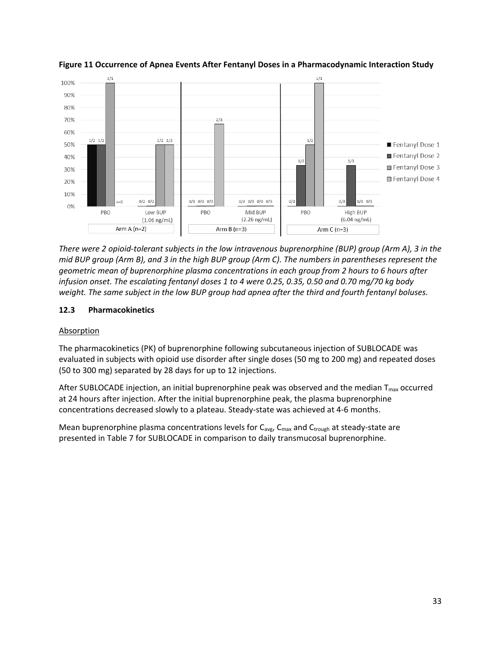

**Figure 11 Occurrence of Apnea Events After Fentanyl Doses in a Pharmacodynamic Interaction Study**

*There were 2 opioid-tolerant subjects in the low intravenous buprenorphine (BUP) group (Arm A), 3 in the mid BUP group (Arm B), and 3 in the high BUP group (Arm C). The numbers in parentheses represent the geometric mean of buprenorphine plasma concentrations in each group from 2 hours to 6 hours after infusion onset. The escalating fentanyl doses 1 to 4 were 0.25, 0.35, 0.50 and 0.70 mg/70 kg body weight. The same subject in the low BUP group had apnea after the third and fourth fentanyl boluses.*

### <span id="page-32-0"></span>**12.3 Pharmacokinetics**

### Absorption

The pharmacokinetics (PK) of buprenorphine following subcutaneous injection of SUBLOCADE was evaluated in subjects with opioid use disorder after single doses (50 mg to 200 mg) and repeated doses (50 to 300 mg) separated by 28 days for up to 12 injections.

After SUBLOCADE injection, an initial buprenorphine peak was observed and the median  $T_{\text{max}}$  occurred at 24 hours after injection. After the initial buprenorphine peak, the plasma buprenorphine concentrations decreased slowly to a plateau. Steady-state was achieved at 4-6 months.

Mean buprenorphine plasma concentrations levels for  $C_{\text{avg}}$ ,  $C_{\text{max}}$  and  $C_{\text{trough}}$  at steady-state are presented in Table 7 for SUBLOCADE in comparison to daily transmucosal buprenorphine.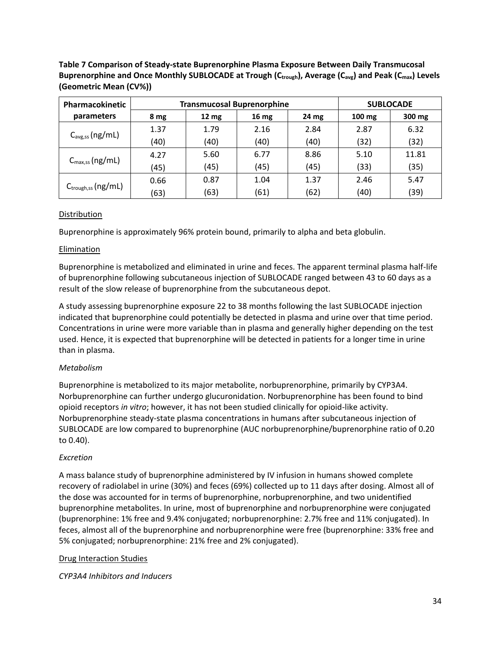**Table 7 Comparison of Steady-state Buprenorphine Plasma Exposure Between Daily Transmucosal Buprenorphine and Once Monthly SUBLOCADE at Trough (Ctrough), Average (Cavg) and Peak (Cmax) Levels (Geometric Mean (CV%))**

| Pharmacokinetic               | <b>Transmucosal Buprenorphine</b> |                 |                  |                  | <b>SUBLOCADE</b> |        |
|-------------------------------|-----------------------------------|-----------------|------------------|------------------|------------------|--------|
| parameters                    | 8 mg                              | $12 \text{ mg}$ | 16 <sub>mg</sub> | 24 <sub>mg</sub> | $100 \text{ mg}$ | 300 mg |
| $C_{\text{avg,ss}}(ng/mL)$    | 1.37                              | 1.79            | 2.16             | 2.84             | 2.87             | 6.32   |
|                               | (40)                              | (40)            | (40)             | (40)             | (32)             | (32)   |
| $C_{\text{max,ss}}(ng/mL)$    | 4.27                              | 5.60            | 6.77             | 8.86             | 5.10             | 11.81  |
|                               | (45)                              | (45)            | (45)             | (45)             | (33)             | (35)   |
| $C_{\text{trough,ss}}(ng/mL)$ | 0.66                              | 0.87            | 1.04             | 1.37             | 2.46             | 5.47   |
|                               | (63)                              | (63)            | (61)             | (62)             | (40)             | (39)   |

### Distribution

Buprenorphine is approximately 96% protein bound, primarily to alpha and beta globulin.

### Elimination

Buprenorphine is metabolized and eliminated in urine and feces. The apparent terminal plasma half-life of buprenorphine following subcutaneous injection of SUBLOCADE ranged between 43 to 60 days as a result of the slow release of buprenorphine from the subcutaneous depot.

A study assessing buprenorphine exposure 22 to 38 months following the last SUBLOCADE injection indicated that buprenorphine could potentially be detected in plasma and urine over that time period. Concentrations in urine were more variable than in plasma and generally higher depending on the test used. Hence, it is expected that buprenorphine will be detected in patients for a longer time in urine than in plasma.

## *Metabolism*

Buprenorphine is metabolized to its major metabolite, norbuprenorphine, primarily by CYP3A4. Norbuprenorphine can further undergo glucuronidation. Norbuprenorphine has been found to bind opioid receptors *in vitro*; however, it has not been studied clinically for opioid-like activity. Norbuprenorphine steady-state plasma concentrations in humans after subcutaneous injection of SUBLOCADE are low compared to buprenorphine (AUC norbuprenorphine/buprenorphine ratio of 0.20 to 0.40).

### *Excretion*

A mass balance study of buprenorphine administered by IV infusion in humans showed complete recovery of radiolabel in urine (30%) and feces (69%) collected up to 11 days after dosing. Almost all of the dose was accounted for in terms of buprenorphine, norbuprenorphine, and two unidentified buprenorphine metabolites. In urine, most of buprenorphine and norbuprenorphine were conjugated (buprenorphine: 1% free and 9.4% conjugated; norbuprenorphine: 2.7% free and 11% conjugated). In feces, almost all of the buprenorphine and norbuprenorphine were free (buprenorphine: 33% free and 5% conjugated; norbuprenorphine: 21% free and 2% conjugated).

### Drug Interaction Studies

*CYP3A4 Inhibitors and Inducers*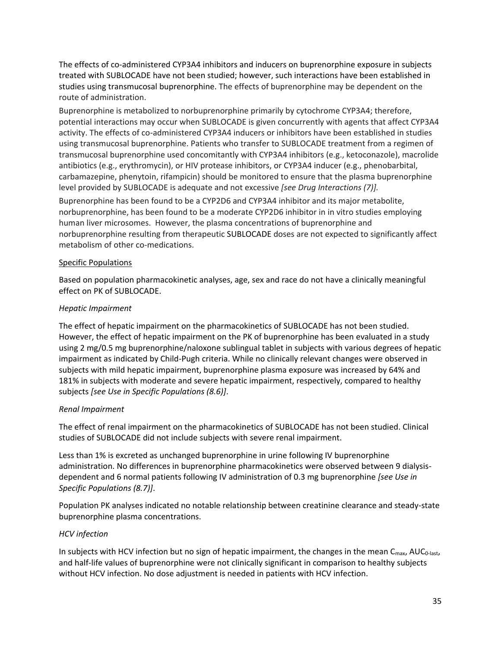The effects of co-administered CYP3A4 inhibitors and inducers on buprenorphine exposure in subjects treated with SUBLOCADE have not been studied; however, such interactions have been established in studies using transmucosal buprenorphine. The effects of buprenorphine may be dependent on the route of administration.

Buprenorphine is metabolized to norbuprenorphine primarily by cytochrome CYP3A4; therefore, potential interactions may occur when SUBLOCADE is given concurrently with agents that affect CYP3A4 activity. The effects of co-administered CYP3A4 inducers or inhibitors have been established in studies using transmucosal buprenorphine. Patients who transfer to SUBLOCADE treatment from a regimen of transmucosal buprenorphine used concomitantly with CYP3A4 inhibitors (e.g., ketoconazole), macrolide antibiotics (e.g., erythromycin), or HIV protease inhibitors, or CYP3A4 inducer (e.g., phenobarbital, carbamazepine, phenytoin, rifampicin) should be monitored to ensure that the plasma buprenorphine level provided by SUBLOCADE is adequate and not excessive *[see Drug Interactions (7)].* 

Buprenorphine has been found to be a CYP2D6 and CYP3A4 inhibitor and its major metabolite, norbuprenorphine, has been found to be a moderate CYP2D6 inhibitor in in vitro studies employing human liver microsomes. However, the plasma concentrations of buprenorphine and norbuprenorphine resulting from therapeutic SUBLOCADE doses are not expected to significantly affect metabolism of other co-medications.

### Specific Populations

Based on population pharmacokinetic analyses, age, sex and race do not have a clinically meaningful effect on PK of SUBLOCADE.

### *Hepatic Impairment*

The effect of hepatic impairment on the pharmacokinetics of SUBLOCADE has not been studied. However, the effect of hepatic impairment on the PK of buprenorphine has been evaluated in a study using 2 mg/0.5 mg buprenorphine/naloxone sublingual tablet in subjects with various degrees of hepatic impairment as indicated by Child-Pugh criteria. While no clinically relevant changes were observed in subjects with mild hepatic impairment, buprenorphine plasma exposure was increased by 64% and 181% in subjects with moderate and severe hepatic impairment, respectively, compared to healthy subjects *[see Use in Specific Populations (8.6)]*.

### *Renal Impairment*

The effect of renal impairment on the pharmacokinetics of SUBLOCADE has not been studied. Clinical studies of SUBLOCADE did not include subjects with severe renal impairment.

Less than 1% is excreted as unchanged buprenorphine in urine following IV buprenorphine administration. No differences in buprenorphine pharmacokinetics were observed between 9 dialysisdependent and 6 normal patients following IV administration of 0.3 mg buprenorphine *[see Use in Specific Populations (8.7)]*.

Population PK analyses indicated no notable relationship between creatinine clearance and steady-state buprenorphine plasma concentrations.

## *HCV infection*

In subjects with HCV infection but no sign of hepatic impairment, the changes in the mean  $C_{\text{max}}$ , AUC<sub>0-last</sub>, and half-life values of buprenorphine were not clinically significant in comparison to healthy subjects without HCV infection. No dose adjustment is needed in patients with HCV infection.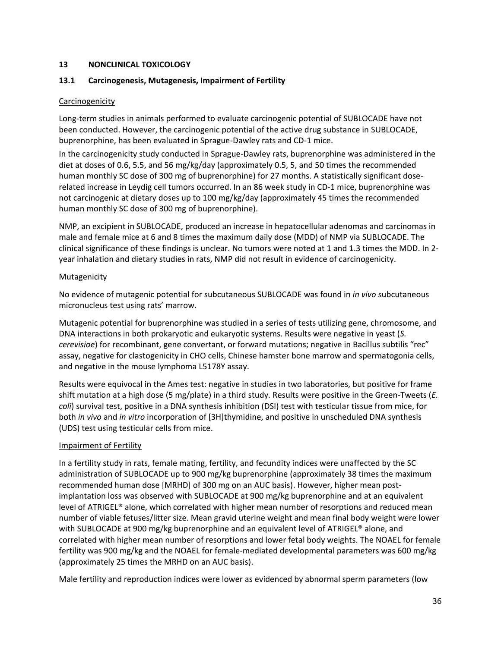### **13 NONCLINICAL TOXICOLOGY**

### <span id="page-35-0"></span>**13.1 Carcinogenesis, Mutagenesis, Impairment of Fertility**

### **Carcinogenicity**

Long-term studies in animals performed to evaluate carcinogenic potential of SUBLOCADE have not been conducted. However, the carcinogenic potential of the active drug substance in SUBLOCADE, buprenorphine, has been evaluated in Sprague-Dawley rats and CD-1 mice.

In the carcinogenicity study conducted in Sprague-Dawley rats, buprenorphine was administered in the diet at doses of 0.6, 5.5, and 56 mg/kg/day (approximately 0.5, 5, and 50 times the recommended human monthly SC dose of 300 mg of buprenorphine) for 27 months. A statistically significant doserelated increase in Leydig cell tumors occurred. In an 86 week study in CD-1 mice, buprenorphine was not carcinogenic at dietary doses up to 100 mg/kg/day (approximately 45 times the recommended human monthly SC dose of 300 mg of buprenorphine).

NMP, an excipient in SUBLOCADE, produced an increase in hepatocellular adenomas and carcinomas in male and female mice at 6 and 8 times the maximum daily dose (MDD) of NMP via SUBLOCADE. The clinical significance of these findings is unclear. No tumors were noted at 1 and 1.3 times the MDD. In 2 year inhalation and dietary studies in rats, NMP did not result in evidence of carcinogenicity.

### **Mutagenicity**

No evidence of mutagenic potential for subcutaneous SUBLOCADE was found in *in vivo* subcutaneous micronucleus test using rats' marrow.

Mutagenic potential for buprenorphine was studied in a series of tests utilizing gene, chromosome, and DNA interactions in both prokaryotic and eukaryotic systems. Results were negative in yeast (*S. cerevisiae*) for recombinant, gene convertant, or forward mutations; negative in Bacillus subtilis "rec" assay, negative for clastogenicity in CHO cells, Chinese hamster bone marrow and spermatogonia cells, and negative in the mouse lymphoma L5178Y assay.

Results were equivocal in the Ames test: negative in studies in two laboratories, but positive for frame shift mutation at a high dose (5 mg/plate) in a third study. Results were positive in the Green-Tweets (*E. coli*) survival test, positive in a DNA synthesis inhibition (DSI) test with testicular tissue from mice, for both *in vivo* and *in vitro* incorporation of [3H]thymidine, and positive in unscheduled DNA synthesis (UDS) test using testicular cells from mice.

### Impairment of Fertility

In a fertility study in rats, female mating, fertility, and fecundity indices were unaffected by the SC administration of SUBLOCADE up to 900 mg/kg buprenorphine (approximately 38 times the maximum recommended human dose [MRHD] of 300 mg on an AUC basis). However, higher mean postimplantation loss was observed with SUBLOCADE at 900 mg/kg buprenorphine and at an equivalent level of ATRIGEL® alone, which correlated with higher mean number of resorptions and reduced mean number of viable fetuses/litter size. Mean gravid uterine weight and mean final body weight were lower with SUBLOCADE at 900 mg/kg buprenorphine and an equivalent level of ATRIGEL® alone, and correlated with higher mean number of resorptions and lower fetal body weights. The NOAEL for female fertility was 900 mg/kg and the NOAEL for female-mediated developmental parameters was 600 mg/kg (approximately 25 times the MRHD on an AUC basis).

Male fertility and reproduction indices were lower as evidenced by abnormal sperm parameters (low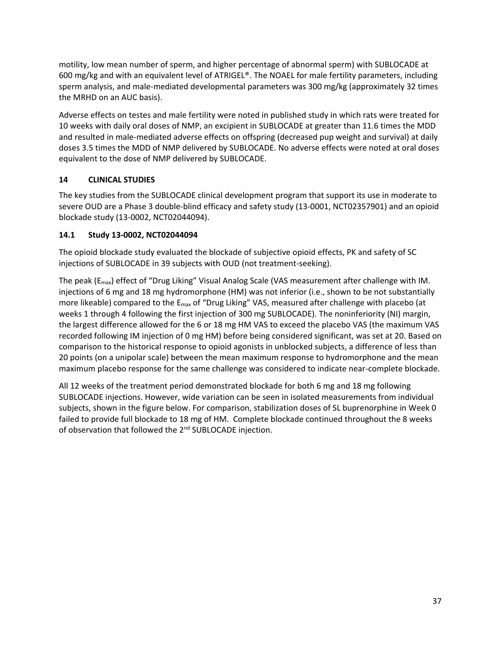motility, low mean number of sperm, and higher percentage of abnormal sperm) with SUBLOCADE at 600 mg/kg and with an equivalent level of ATRIGEL®. The NOAEL for male fertility parameters, including sperm analysis, and male-mediated developmental parameters was 300 mg/kg (approximately 32 times the MRHD on an AUC basis).

Adverse effects on testes and male fertility were noted in published study in which rats were treated for 10 weeks with daily oral doses of NMP, an excipient in SUBLOCADE at greater than 11.6 times the MDD and resulted in male-mediated adverse effects on offspring (decreased pup weight and survival) at daily doses 3.5 times the MDD of NMP delivered by SUBLOCADE. No adverse effects were noted at oral doses equivalent to the dose of NMP delivered by SUBLOCADE.

# **14 CLINICAL STUDIES**

The key studies from the SUBLOCADE clinical development program that support its use in moderate to severe OUD are a Phase 3 double-blind efficacy and safety study (13-0001, NCT02357901) and an opioid blockade study (13-0002, NCT02044094).

## **14.1 Study 13-0002, NCT02044094**

The opioid blockade study evaluated the blockade of subjective opioid effects, PK and safety of SC injections of SUBLOCADE in 39 subjects with OUD (not treatment-seeking).

The peak (E<sub>max</sub>) effect of "Drug Liking" Visual Analog Scale (VAS measurement after challenge with IM. injections of 6 mg and 18 mg hydromorphone (HM) was not inferior (i.e., shown to be not substantially more likeable) compared to the E<sub>max</sub> of "Drug Liking" VAS, measured after challenge with placebo (at weeks 1 through 4 following the first injection of 300 mg SUBLOCADE). The noninferiority (NI) margin, the largest difference allowed for the 6 or 18 mg HM VAS to exceed the placebo VAS (the maximum VAS recorded following IM injection of 0 mg HM) before being considered significant, was set at 20. Based on comparison to the historical response to opioid agonists in unblocked subjects, a difference of less than 20 points (on a unipolar scale) between the mean maximum response to hydromorphone and the mean maximum placebo response for the same challenge was considered to indicate near-complete blockade.

All 12 weeks of the treatment period demonstrated blockade for both 6 mg and 18 mg following SUBLOCADE injections. However, wide variation can be seen in isolated measurements from individual subjects, shown in the figure below. For comparison, stabilization doses of SL buprenorphine in Week 0 failed to provide full blockade to 18 mg of HM. Complete blockade continued throughout the 8 weeks of observation that followed the 2<sup>nd</sup> SUBLOCADE injection.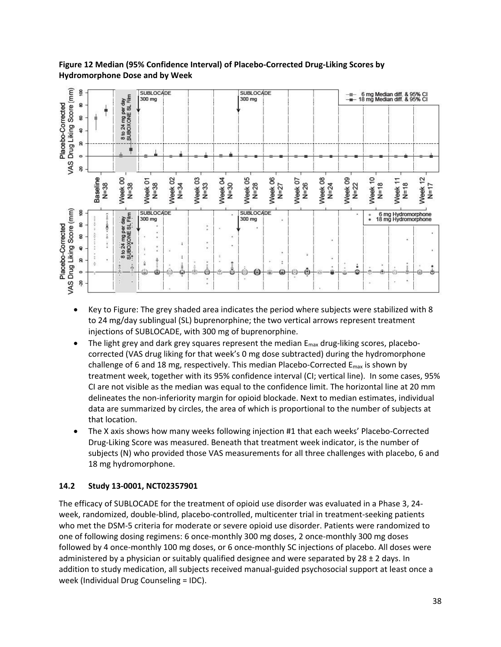

## **Figure 12 Median (95% Confidence Interval) of Placebo-Corrected Drug-Liking Scores by Hydromorphone Dose and by Week**

- Key to Figure: The grey shaded area indicates the period where subjects were stabilized with 8 to 24 mg/day sublingual (SL) buprenorphine; the two vertical arrows represent treatment injections of SUBLOCADE, with 300 mg of buprenorphine.
- The light grey and dark grey squares represent the median  $E_{\text{max}}$  drug-liking scores, placebocorrected (VAS drug liking for that week's 0 mg dose subtracted) during the hydromorphone challenge of 6 and 18 mg, respectively. This median Placebo-Corrected  $E_{\text{max}}$  is shown by treatment week, together with its 95% confidence interval (CI; vertical line). In some cases, 95% CI are not visible as the median was equal to the confidence limit. The horizontal line at 20 mm delineates the non-inferiority margin for opioid blockade. Next to median estimates, individual data are summarized by circles, the area of which is proportional to the number of subjects at that location.
- The X axis shows how many weeks following injection #1 that each weeks' Placebo-Corrected Drug-Liking Score was measured. Beneath that treatment week indicator, is the number of subjects (N) who provided those VAS measurements for all three challenges with placebo, 6 and 18 mg hydromorphone.

## **14.2 Study 13-0001, NCT02357901**

The efficacy of SUBLOCADE for the treatment of opioid use disorder was evaluated in a Phase 3, 24 week, randomized, double-blind, placebo-controlled, multicenter trial in treatment-seeking patients who met the DSM-5 criteria for moderate or severe opioid use disorder. Patients were randomized to one of following dosing regimens: 6 once-monthly 300 mg doses, 2 once-monthly 300 mg doses followed by 4 once-monthly 100 mg doses, or 6 once-monthly SC injections of placebo. All doses were administered by a physician or suitably qualified designee and were separated by 28  $\pm$  2 days. In addition to study medication, all subjects received manual-guided psychosocial support at least once a week (Individual Drug Counseling = IDC).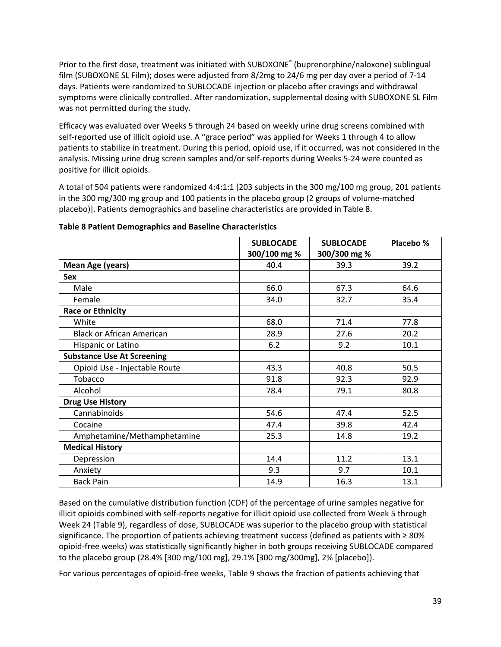Prior to the first dose, treatment was initiated with SUBOXONE® (buprenorphine/naloxone) sublingual film (SUBOXONE SL Film); doses were adjusted from 8/2mg to 24/6 mg per day over a period of 7-14 days. Patients were randomized to SUBLOCADE injection or placebo after cravings and withdrawal symptoms were clinically controlled. After randomization, supplemental dosing with SUBOXONE SL Film was not permitted during the study.

Efficacy was evaluated over Weeks 5 through 24 based on weekly urine drug screens combined with self-reported use of illicit opioid use. A "grace period" was applied for Weeks 1 through 4 to allow patients to stabilize in treatment. During this period, opioid use, if it occurred, was not considered in the analysis. Missing urine drug screen samples and/or self-reports during Weeks 5-24 were counted as positive for illicit opioids.

A total of 504 patients were randomized 4:4:1:1 [203 subjects in the 300 mg/100 mg group, 201 patients in the 300 mg/300 mg group and 100 patients in the placebo group (2 groups of volume-matched placebo)]. Patients demographics and baseline characteristics are provided in Table 8.

|                                   | <b>SUBLOCADE</b><br>300/100 mg % | <b>SUBLOCADE</b><br>300/300 mg % | Placebo % |
|-----------------------------------|----------------------------------|----------------------------------|-----------|
| <b>Mean Age (years)</b>           | 40.4                             | 39.3                             | 39.2      |
| <b>Sex</b>                        |                                  |                                  |           |
| Male                              | 66.0                             | 67.3                             | 64.6      |
| Female                            | 34.0                             | 32.7                             | 35.4      |
| <b>Race or Ethnicity</b>          |                                  |                                  |           |
| White                             | 68.0                             | 71.4                             | 77.8      |
| <b>Black or African American</b>  | 28.9                             | 27.6                             | 20.2      |
| Hispanic or Latino                | 6.2                              | 9.2                              | 10.1      |
| <b>Substance Use At Screening</b> |                                  |                                  |           |
| Opioid Use - Injectable Route     | 43.3                             | 40.8                             | 50.5      |
| Tobacco                           | 91.8                             | 92.3                             | 92.9      |
| Alcohol                           | 78.4                             | 79.1                             | 80.8      |
| <b>Drug Use History</b>           |                                  |                                  |           |
| Cannabinoids                      | 54.6                             | 47.4                             | 52.5      |
| Cocaine                           | 47.4                             | 39.8                             | 42.4      |
| Amphetamine/Methamphetamine       | 25.3                             | 14.8                             | 19.2      |
| <b>Medical History</b>            |                                  |                                  |           |
| Depression                        | 14.4                             | 11.2                             | 13.1      |
| Anxiety                           | 9.3                              | 9.7                              | 10.1      |
| <b>Back Pain</b>                  | 14.9                             | 16.3                             | 13.1      |

### **Table 8 Patient Demographics and Baseline Characteristics**

Based on the cumulative distribution function (CDF) of the percentage of urine samples negative for illicit opioids combined with self-reports negative for illicit opioid use collected from Week 5 through Week 24 (Table 9), regardless of dose, SUBLOCADE was superior to the placebo group with statistical significance. The proportion of patients achieving treatment success (defined as patients with ≥ 80% opioid-free weeks) was statistically significantly higher in both groups receiving SUBLOCADE compared to the placebo group (28.4% [300 mg/100 mg], 29.1% [300 mg/300mg], 2% [placebo]).

For various percentages of opioid-free weeks, Table 9 shows the fraction of patients achieving that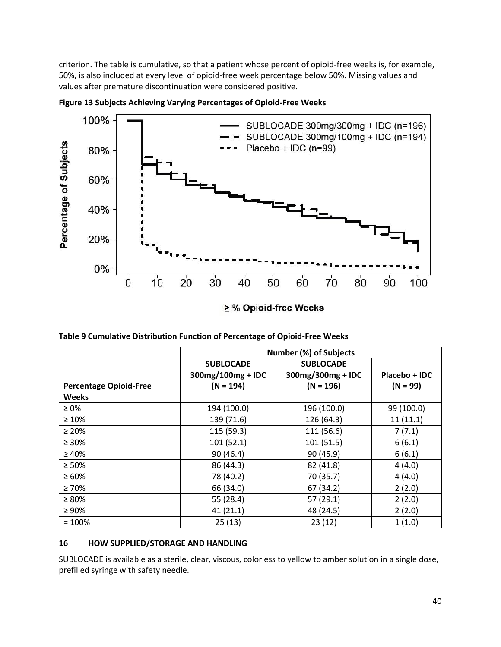criterion. The table is cumulative, so that a patient whose percent of opioid-free weeks is, for example, 50%, is also included at every level of opioid-free week percentage below 50%. Missing values and values after premature discontinuation were considered positive.



**Figure 13 Subjects Achieving Varying Percentages of Opioid-Free Weeks**

≥ % Opioid-free Weeks

**Table 9 Cumulative Distribution Function of Percentage of Opioid-Free Weeks**

|                               | Number (%) of Subjects |                   |               |  |  |  |
|-------------------------------|------------------------|-------------------|---------------|--|--|--|
|                               | <b>SUBLOCADE</b>       | <b>SUBLOCADE</b>  |               |  |  |  |
|                               | 300mg/100mg + IDC      | 300mg/300mg + IDC | Placebo + IDC |  |  |  |
| <b>Percentage Opioid-Free</b> | $(N = 194)$            | $(N = 196)$       | $(N = 99)$    |  |  |  |
| <b>Weeks</b>                  |                        |                   |               |  |  |  |
| $\geq 0\%$                    | 194 (100.0)            | 196 (100.0)       | 99 (100.0)    |  |  |  |
| $\geq 10\%$                   | 139 (71.6)             | 126 (64.3)        | 11(11.1)      |  |  |  |
| $\geq 20\%$                   | 115 (59.3)             | 111 (56.6)        | 7(7.1)        |  |  |  |
| $\geq 30\%$                   | 101(52.1)              | 101 (51.5)        | 6(6.1)        |  |  |  |
| $\geq 40\%$                   | 90 (46.4)              | 90 (45.9)         | 6(6.1)        |  |  |  |
| $\geq 50\%$                   | 86 (44.3)              | 82 (41.8)         | 4(4.0)        |  |  |  |
| $\geq 60\%$                   | 78 (40.2)              | 70 (35.7)         | 4(4.0)        |  |  |  |
| $\geq 70\%$                   | 66 (34.0)              | 67 (34.2)         | 2(2.0)        |  |  |  |
| $\geq 80\%$                   | 55 (28.4)              | 57 (29.1)         | 2(2.0)        |  |  |  |
| $\geq 90\%$                   | 41(21.1)               | 48 (24.5)         | 2(2.0)        |  |  |  |
| $= 100%$                      | 25(13)                 | 23(12)            | 1(1.0)        |  |  |  |

### **16 HOW SUPPLIED/STORAGE AND HANDLING**

SUBLOCADE is available as a sterile, clear, viscous, colorless to yellow to amber solution in a single dose, prefilled syringe with safety needle.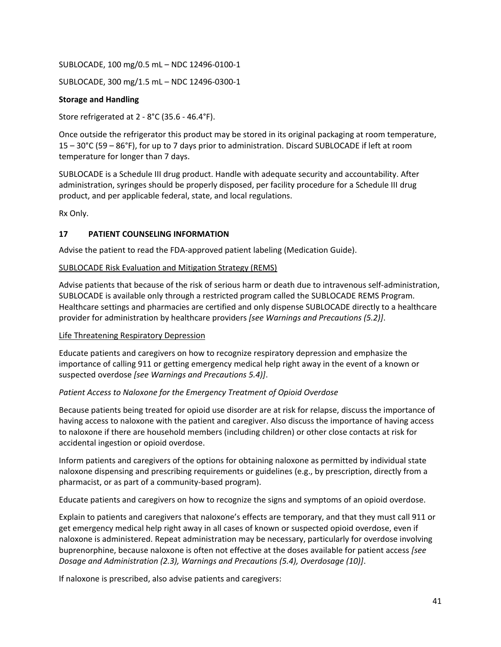SUBLOCADE, 100 mg/0.5 mL – NDC 12496-0100-1

SUBLOCADE, 300 mg/1.5 mL – NDC 12496-0300-1

### **Storage and Handling**

Store refrigerated at 2 - 8°C (35.6 - 46.4°F).

Once outside the refrigerator this product may be stored in its original packaging at room temperature, 15 – 30°C (59 – 86°F), for up to 7 days prior to administration. Discard SUBLOCADE if left at room temperature for longer than 7 days.

SUBLOCADE is a Schedule III drug product. Handle with adequate security and accountability. After administration, syringes should be properly disposed, per facility procedure for a Schedule III drug product, and per applicable federal, state, and local regulations.

Rx Only.

## <span id="page-40-0"></span>**17 PATIENT COUNSELING INFORMATION**

Advise the patient to read the FDA-approved patient labeling (Medication Guide).

### SUBLOCADE Risk Evaluation and Mitigation Strategy (REMS)

Advise patients that because of the risk of serious harm or death due to intravenous self-administration, SUBLOCADE is available only through a restricted program called the SUBLOCADE REMS Program. Healthcare settings and pharmacies are certified and only dispense SUBLOCADE directly to a healthcare provider for administration by healthcare providers *[see Warnings and Precautions (5.2)]*.

### Life Threatening Respiratory Depression

Educate patients and caregivers on how to recognize respiratory depression and emphasize the importance of calling 911 or getting emergency medical help right away in the event of a known or suspected overdose *[see Warnings and Precautions 5.4)]*.

## *Patient Access to Naloxone for the Emergency Treatment of Opioid Overdose*

Because patients being treated for opioid use disorder are at risk for relapse, discuss the importance of having access to naloxone with the patient and caregiver. Also discuss the importance of having access to naloxone if there are household members (including children) or other close contacts at risk for accidental ingestion or opioid overdose.

Inform patients and caregivers of the options for obtaining naloxone as permitted by individual state naloxone dispensing and prescribing requirements or guidelines (e.g., by prescription, directly from a pharmacist, or as part of a community-based program).

Educate patients and caregivers on how to recognize the signs and symptoms of an opioid overdose.

Explain to patients and caregivers that naloxone's effects are temporary, and that they must call 911 or get emergency medical help right away in all cases of known or suspected opioid overdose, even if naloxone is administered. Repeat administration may be necessary, particularly for overdose involving buprenorphine, because naloxone is often not effective at the doses available for patient access *[see Dosage and Administration (2.3), Warnings and Precautions (5.4), Overdosage (10)]*.

If naloxone is prescribed, also advise patients and caregivers: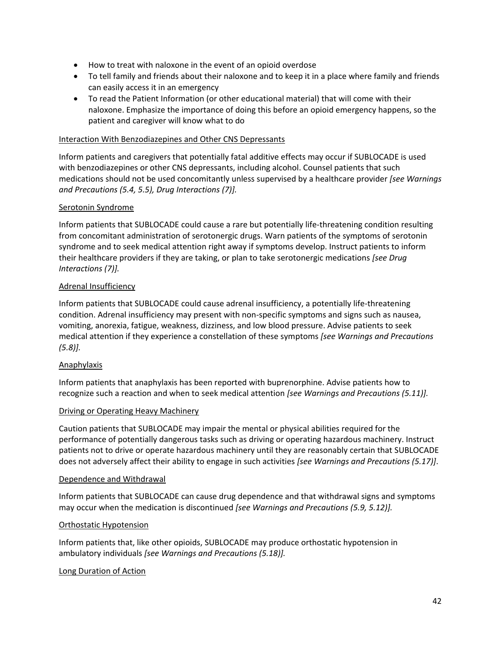- How to treat with naloxone in the event of an opioid overdose
- To tell family and friends about their naloxone and to keep it in a place where family and friends can easily access it in an emergency
- To read the Patient Information (or other educational material) that will come with their naloxone. Emphasize the importance of doing this before an opioid emergency happens, so the patient and caregiver will know what to do

### Interaction With Benzodiazepines and Other CNS Depressants

Inform patients and caregivers that potentially fatal additive effects may occur if SUBLOCADE is used with benzodiazepines or other CNS depressants, including alcohol. Counsel patients that such medications should not be used concomitantly unless supervised by a healthcare provider *[see Warnings and Precautions (5.4, 5.5), Drug Interactions (7)].*

### Serotonin Syndrome

Inform patients that SUBLOCADE could cause a rare but potentially life-threatening condition resulting from concomitant administration of serotonergic drugs. Warn patients of the symptoms of serotonin syndrome and to seek medical attention right away if symptoms develop. Instruct patients to inform their healthcare providers if they are taking, or plan to take serotonergic medications *[see Drug Interactions (7)].*

### Adrenal Insufficiency

Inform patients that SUBLOCADE could cause adrenal insufficiency, a potentially life-threatening condition. Adrenal insufficiency may present with non-specific symptoms and signs such as nausea, vomiting, anorexia, fatigue, weakness, dizziness, and low blood pressure. Advise patients to seek medical attention if they experience a constellation of these symptoms *[see Warnings and Precautions (5.8)].*

### Anaphylaxis

Inform patients that anaphylaxis has been reported with buprenorphine. Advise patients how to recognize such a reaction and when to seek medical attention *[see Warnings and Precautions (5.11)].*

### Driving or Operating Heavy Machinery

Caution patients that SUBLOCADE may impair the mental or physical abilities required for the performance of potentially dangerous tasks such as driving or operating hazardous machinery. Instruct patients not to drive or operate hazardous machinery until they are reasonably certain that SUBLOCADE does not adversely affect their ability to engage in such activities *[see Warnings and Precautions (5.17)]*.

#### Dependence and Withdrawal

Inform patients that SUBLOCADE can cause drug dependence and that withdrawal signs and symptoms may occur when the medication is discontinued *[see Warnings and Precautions (5.9, 5.12)].*

### Orthostatic Hypotension

Inform patients that, like other opioids, SUBLOCADE may produce orthostatic hypotension in ambulatory individuals *[see Warnings and Precautions (5.18)].*

### Long Duration of Action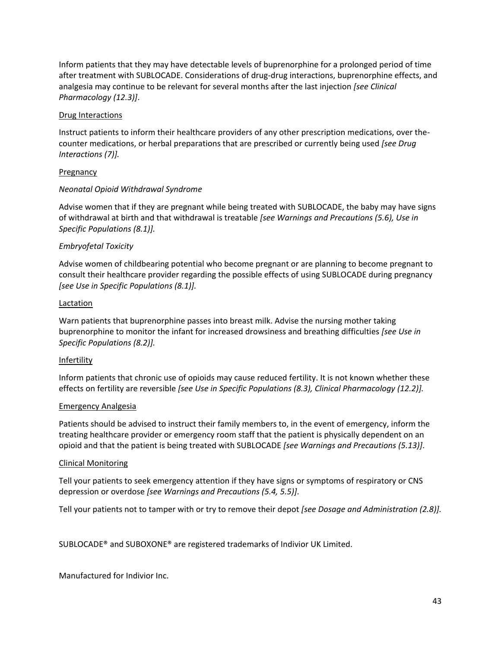Inform patients that they may have detectable levels of buprenorphine for a prolonged period of time after treatment with SUBLOCADE. Considerations of drug-drug interactions, buprenorphine effects, and analgesia may continue to be relevant for several months after the last injection *[see Clinical Pharmacology (12.3)]*.

### Drug Interactions

Instruct patients to inform their healthcare providers of any other prescription medications, over thecounter medications, or herbal preparations that are prescribed or currently being used *[see Drug Interactions (7)].*

### Pregnancy

### *Neonatal Opioid Withdrawal Syndrome*

Advise women that if they are pregnant while being treated with SUBLOCADE, the baby may have signs of withdrawal at birth and that withdrawal is treatable *[see Warnings and Precautions (5.6), Use in Specific Populations (8.1)].* 

### *Embryofetal Toxicity*

Advise women of childbearing potential who become pregnant or are planning to become pregnant to consult their healthcare provider regarding the possible effects of using SUBLOCADE during pregnancy *[see Use in Specific Populations (8.1)].*

### Lactation

Warn patients that buprenorphine passes into breast milk. Advise the nursing mother taking buprenorphine to monitor the infant for increased drowsiness and breathing difficulties *[see Use in Specific Populations (8.2)].* 

### Infertility

Inform patients that chronic use of opioids may cause reduced fertility. It is not known whether these effects on fertility are reversible *[see Use in Specific Populations (8.3), Clinical Pharmacology (12.2)].*

### Emergency Analgesia

Patients should be advised to instruct their family members to, in the event of emergency, inform the treating healthcare provider or emergency room staff that the patient is physically dependent on an opioid and that the patient is being treated with SUBLOCADE *[see Warnings and Precautions (5.13)]*.

### Clinical Monitoring

Tell your patients to seek emergency attention if they have signs or symptoms of respiratory or CNS depression or overdose *[see Warnings and Precautions (5.4, 5.5)]*.

Tell your patients not to tamper with or try to remove their depot *[see Dosage and Administration (2.8)].*

SUBLOCADE® and SUBOXONE® are registered trademarks of Indivior UK Limited.

Manufactured for Indivior Inc.